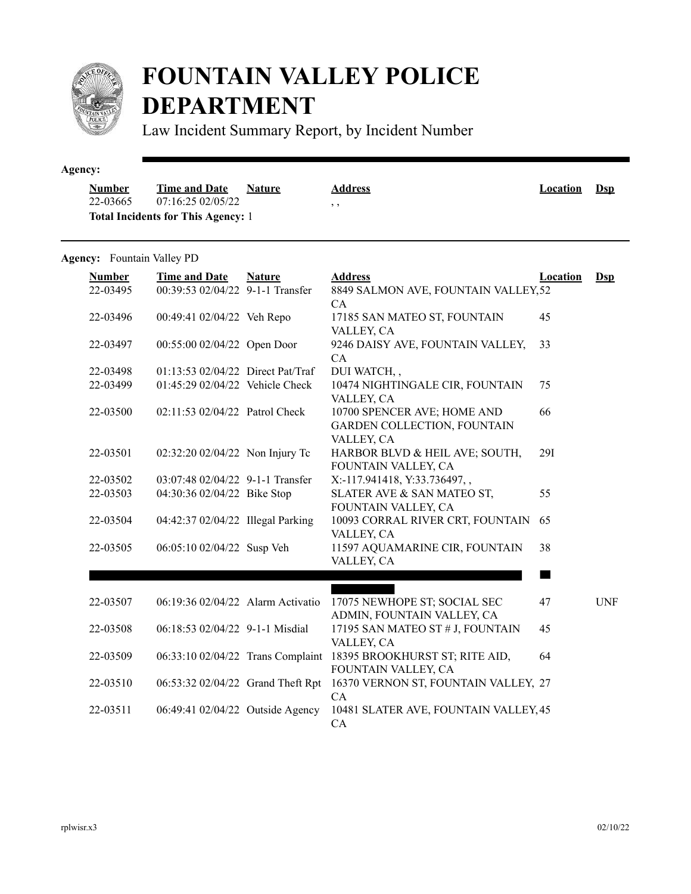

## **FOUNTAIN VALLEY POLICE DEPARTMENT**

Law Incident Summary Report, by Incident Number

| <b>Number</b> | <b>Time and Date</b>                      | <b>Nature</b> | <b>Address</b> | <b>Location</b> | <b>D</b> sp |
|---------------|-------------------------------------------|---------------|----------------|-----------------|-------------|
| 22-03665      | 07:16:25 02/05/22                         |               | , ,            |                 |             |
|               | <b>Total Incidents for This Agency: 1</b> |               |                |                 |             |

## **Agency:** Fountain Valley PD

| <b>Number</b><br>22-03495 | <b>Time and Date</b><br>00:39:53 02/04/22 9-1-1 Transfer | <b>Nature</b> | <b>Address</b><br>8849 SALMON AVE, FOUNTAIN VALLEY, 52<br>CA                    | <b>Location</b> | $DsD$      |
|---------------------------|----------------------------------------------------------|---------------|---------------------------------------------------------------------------------|-----------------|------------|
| 22-03496                  | 00:49:41 02/04/22 Veh Repo                               |               | 17185 SAN MATEO ST, FOUNTAIN<br>VALLEY, CA                                      | 45              |            |
| 22-03497                  | 00:55:00 02/04/22 Open Door                              |               | 9246 DAISY AVE, FOUNTAIN VALLEY,<br>CA                                          | 33              |            |
| 22-03498                  | 01:13:53 02/04/22 Direct Pat/Traf                        |               | DUI WATCH,,                                                                     |                 |            |
| 22-03499                  | 01:45:29 02/04/22 Vehicle Check                          |               | 10474 NIGHTINGALE CIR, FOUNTAIN<br>VALLEY, CA                                   | 75              |            |
| 22-03500                  | 02:11:53 02/04/22 Patrol Check                           |               | 10700 SPENCER AVE; HOME AND<br><b>GARDEN COLLECTION, FOUNTAIN</b><br>VALLEY, CA | 66              |            |
| 22-03501                  | 02:32:20 02/04/22 Non Injury Tc                          |               | HARBOR BLVD & HEIL AVE; SOUTH,<br>FOUNTAIN VALLEY, CA                           | <b>29I</b>      |            |
| 22-03502                  | 03:07:48 02/04/22 9-1-1 Transfer                         |               | X:-117.941418, Y:33.736497,,                                                    |                 |            |
| 22-03503                  | 04:30:36 02/04/22 Bike Stop                              |               | SLATER AVE & SAN MATEO ST,<br>FOUNTAIN VALLEY, CA                               | 55              |            |
| 22-03504                  | 04:42:37 02/04/22 Illegal Parking                        |               | 10093 CORRAL RIVER CRT, FOUNTAIN<br>VALLEY, CA                                  | 65              |            |
| 22-03505                  | 06:05:10 02/04/22 Susp Veh                               |               | 11597 AQUAMARINE CIR, FOUNTAIN<br>VALLEY, CA                                    | 38              |            |
|                           |                                                          |               |                                                                                 |                 |            |
| 22-03507                  | 06:19:36 02/04/22 Alarm Activatio                        |               | 17075 NEWHOPE ST; SOCIAL SEC<br>ADMIN, FOUNTAIN VALLEY, CA                      | 47              | <b>UNF</b> |
| 22-03508                  | 06:18:53 02/04/22 9-1-1 Misdial                          |               | 17195 SAN MATEO ST # J, FOUNTAIN<br>VALLEY, CA                                  | 45              |            |
| 22-03509                  | 06:33:10 02/04/22 Trans Complaint                        |               | 18395 BROOKHURST ST; RITE AID,<br>FOUNTAIN VALLEY, CA                           | 64              |            |
| 22-03510                  | 06:53:32 02/04/22 Grand Theft Rpt                        |               | 16370 VERNON ST, FOUNTAIN VALLEY, 27<br>CA                                      |                 |            |
| 22-03511                  | 06:49:41 02/04/22 Outside Agency                         |               | 10481 SLATER AVE, FOUNTAIN VALLEY, 45<br>CA                                     |                 |            |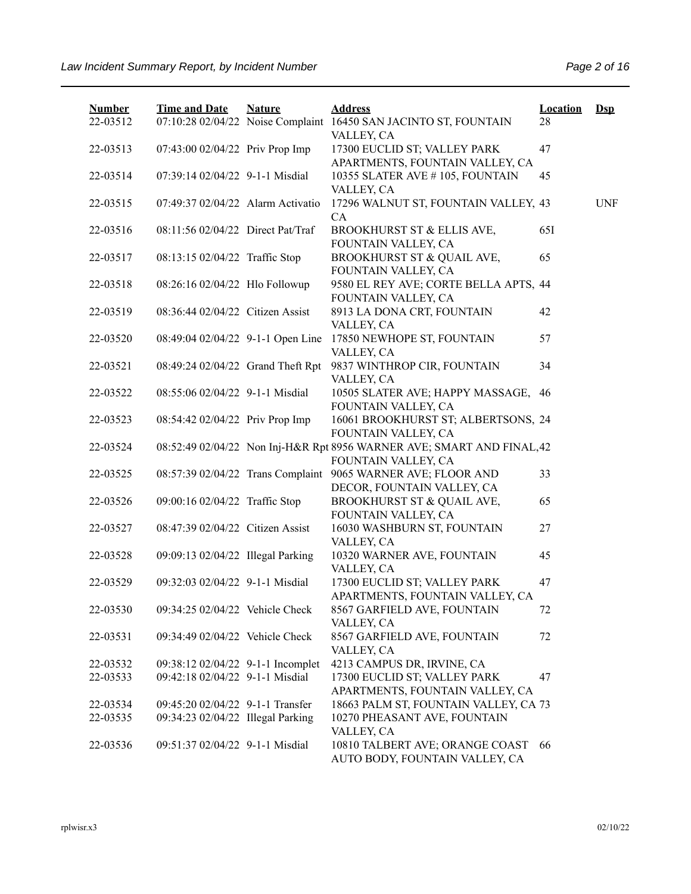| <b>Number</b> | <b>Time and Date</b>              | <b>Nature</b> | <b>Address</b>                                                                 | <b>Location</b> | $\mathbf{Dsp}$ |
|---------------|-----------------------------------|---------------|--------------------------------------------------------------------------------|-----------------|----------------|
| 22-03512      |                                   |               | 07:10:28 02/04/22 Noise Complaint 16450 SAN JACINTO ST, FOUNTAIN<br>VALLEY, CA | 28              |                |
| 22-03513      | 07:43:00 02/04/22 Priv Prop Imp   |               | 17300 EUCLID ST; VALLEY PARK                                                   | 47              |                |
| 22-03514      | 07:39:14 02/04/22 9-1-1 Misdial   |               | APARTMENTS, FOUNTAIN VALLEY, CA<br>10355 SLATER AVE #105, FOUNTAIN             | 45              |                |
|               |                                   |               | VALLEY, CA                                                                     |                 |                |
| 22-03515      | 07:49:37 02/04/22 Alarm Activatio |               | 17296 WALNUT ST, FOUNTAIN VALLEY, 43                                           |                 | <b>UNF</b>     |
|               |                                   |               | CA                                                                             |                 |                |
| 22-03516      | 08:11:56 02/04/22 Direct Pat/Traf |               | BROOKHURST ST & ELLIS AVE,<br>FOUNTAIN VALLEY, CA                              | 65I             |                |
| 22-03517      | 08:13:15 02/04/22 Traffic Stop    |               | BROOKHURST ST & QUAIL AVE,                                                     | 65              |                |
|               |                                   |               | FOUNTAIN VALLEY, CA                                                            |                 |                |
| 22-03518      | 08:26:16 02/04/22 Hlo Followup    |               | 9580 EL REY AVE; CORTE BELLA APTS, 44                                          |                 |                |
|               |                                   |               | FOUNTAIN VALLEY, CA                                                            |                 |                |
| 22-03519      | 08:36:44 02/04/22 Citizen Assist  |               | 8913 LA DONA CRT, FOUNTAIN                                                     | 42              |                |
|               |                                   |               | VALLEY, CA                                                                     |                 |                |
| 22-03520      | 08:49:04 02/04/22 9-1-1 Open Line |               | 17850 NEWHOPE ST, FOUNTAIN                                                     | 57              |                |
|               |                                   |               | VALLEY, CA                                                                     |                 |                |
| 22-03521      | 08:49:24 02/04/22 Grand Theft Rpt |               | 9837 WINTHROP CIR, FOUNTAIN                                                    | 34              |                |
| 22-03522      | 08:55:06 02/04/22 9-1-1 Misdial   |               | VALLEY, CA<br>10505 SLATER AVE; HAPPY MASSAGE, 46                              |                 |                |
|               |                                   |               | FOUNTAIN VALLEY, CA                                                            |                 |                |
| 22-03523      | 08:54:42 02/04/22 Priv Prop Imp   |               | 16061 BROOKHURST ST; ALBERTSONS, 24                                            |                 |                |
|               |                                   |               | FOUNTAIN VALLEY, CA                                                            |                 |                |
| 22-03524      |                                   |               | 08:52:49 02/04/22 Non Inj-H&R Rpt 8956 WARNER AVE; SMART AND FINAL, 42         |                 |                |
|               |                                   |               | FOUNTAIN VALLEY, CA                                                            |                 |                |
| 22-03525      |                                   |               | 08:57:39 02/04/22 Trans Complaint 9065 WARNER AVE; FLOOR AND                   | 33              |                |
|               |                                   |               | DECOR, FOUNTAIN VALLEY, CA                                                     |                 |                |
| 22-03526      | 09:00:16 02/04/22 Traffic Stop    |               | BROOKHURST ST & QUAIL AVE,<br>FOUNTAIN VALLEY, CA                              | 65              |                |
| 22-03527      | 08:47:39 02/04/22 Citizen Assist  |               | 16030 WASHBURN ST, FOUNTAIN                                                    | 27              |                |
|               |                                   |               | VALLEY, CA                                                                     |                 |                |
| 22-03528      | 09:09:13 02/04/22 Illegal Parking |               | 10320 WARNER AVE, FOUNTAIN                                                     | 45              |                |
|               |                                   |               | VALLEY, CA                                                                     |                 |                |
| 22-03529      | 09:32:03 02/04/22 9-1-1 Misdial   |               | 17300 EUCLID ST; VALLEY PARK                                                   | 47              |                |
|               |                                   |               | APARTMENTS, FOUNTAIN VALLEY, CA                                                |                 |                |
| 22-03530      | 09:34:25 02/04/22 Vehicle Check   |               | 8567 GARFIELD AVE, FOUNTAIN                                                    | 72              |                |
|               | 09:34:49 02/04/22 Vehicle Check   |               | VALLEY, CA                                                                     |                 |                |
| 22-03531      |                                   |               | 8567 GARFIELD AVE, FOUNTAIN<br>VALLEY, CA                                      | 72              |                |
| 22-03532      | 09:38:12 02/04/22 9-1-1 Incomplet |               | 4213 CAMPUS DR, IRVINE, CA                                                     |                 |                |
| 22-03533      | 09:42:18 02/04/22 9-1-1 Misdial   |               | 17300 EUCLID ST; VALLEY PARK                                                   | 47              |                |
|               |                                   |               | APARTMENTS, FOUNTAIN VALLEY, CA                                                |                 |                |
| 22-03534      | 09:45:20 02/04/22 9-1-1 Transfer  |               | 18663 PALM ST, FOUNTAIN VALLEY, CA 73                                          |                 |                |
| 22-03535      | 09:34:23 02/04/22 Illegal Parking |               | 10270 PHEASANT AVE, FOUNTAIN                                                   |                 |                |
|               |                                   |               | VALLEY, CA                                                                     |                 |                |
| 22-03536      | 09:51:37 02/04/22 9-1-1 Misdial   |               | 10810 TALBERT AVE; ORANGE COAST<br>AUTO BODY, FOUNTAIN VALLEY, CA              | 66              |                |
|               |                                   |               |                                                                                |                 |                |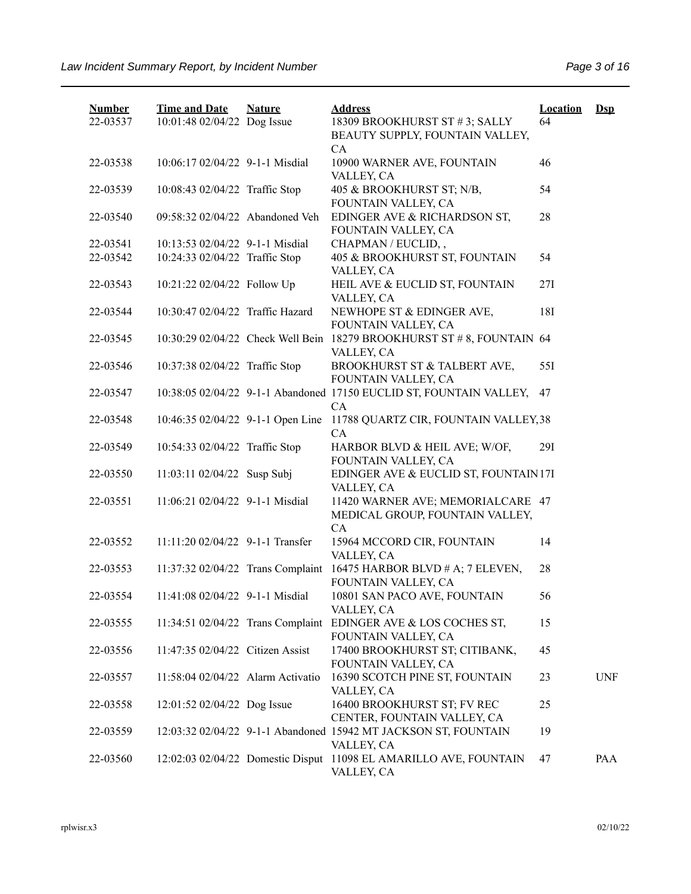| <b>Number</b> | <b>Time and Date</b>              | <b>Nature</b> | <b>Address</b>                                                                | <b>Location</b> | $Ds$       |
|---------------|-----------------------------------|---------------|-------------------------------------------------------------------------------|-----------------|------------|
| 22-03537      | 10:01:48 02/04/22 Dog Issue       |               | 18309 BROOKHURST ST #3; SALLY                                                 | 64              |            |
|               |                                   |               | BEAUTY SUPPLY, FOUNTAIN VALLEY,                                               |                 |            |
| 22-03538      | 10:06:17 02/04/22 9-1-1 Misdial   |               | CA<br>10900 WARNER AVE, FOUNTAIN                                              | 46              |            |
|               |                                   |               | VALLEY, CA                                                                    |                 |            |
| 22-03539      | 10:08:43 02/04/22 Traffic Stop    |               | 405 & BROOKHURST ST; N/B,                                                     | 54              |            |
|               |                                   |               | FOUNTAIN VALLEY, CA                                                           |                 |            |
| 22-03540      | 09:58:32 02/04/22 Abandoned Veh   |               | EDINGER AVE & RICHARDSON ST,                                                  | 28              |            |
|               |                                   |               | FOUNTAIN VALLEY, CA                                                           |                 |            |
| 22-03541      | 10:13:53 02/04/22 9-1-1 Misdial   |               | CHAPMAN / EUCLID,,                                                            |                 |            |
| 22-03542      | 10:24:33 02/04/22 Traffic Stop    |               | 405 & BROOKHURST ST, FOUNTAIN                                                 | 54              |            |
| 22-03543      | 10:21:22 02/04/22 Follow Up       |               | VALLEY, CA<br>HEIL AVE & EUCLID ST, FOUNTAIN                                  | 27I             |            |
|               |                                   |               | VALLEY, CA                                                                    |                 |            |
| 22-03544      | 10:30:47 02/04/22 Traffic Hazard  |               | NEWHOPE ST & EDINGER AVE,                                                     | 18I             |            |
|               |                                   |               | FOUNTAIN VALLEY, CA                                                           |                 |            |
| 22-03545      | 10:30:29 02/04/22 Check Well Bein |               | 18279 BROOKHURST ST # 8, FOUNTAIN 64                                          |                 |            |
|               |                                   |               | VALLEY, CA                                                                    |                 |            |
| 22-03546      | 10:37:38 02/04/22 Traffic Stop    |               | BROOKHURST ST & TALBERT AVE,                                                  | 551             |            |
|               |                                   |               | FOUNTAIN VALLEY, CA                                                           |                 |            |
| 22-03547      |                                   |               | 10:38:05 02/04/22 9-1-1 Abandoned 17150 EUCLID ST, FOUNTAIN VALLEY,           | 47              |            |
| 22-03548      |                                   |               | CA<br>10:46:35 02/04/22 9-1-1 Open Line 11788 QUARTZ CIR, FOUNTAIN VALLEY, 38 |                 |            |
|               |                                   |               | CA                                                                            |                 |            |
| 22-03549      | 10:54:33 02/04/22 Traffic Stop    |               | HARBOR BLVD & HEIL AVE; W/OF,                                                 | 291             |            |
|               |                                   |               | FOUNTAIN VALLEY, CA                                                           |                 |            |
| 22-03550      | 11:03:11 02/04/22 Susp Subj       |               | EDINGER AVE & EUCLID ST, FOUNTAIN 17I                                         |                 |            |
|               |                                   |               | VALLEY, CA                                                                    |                 |            |
| 22-03551      | 11:06:21 02/04/22 9-1-1 Misdial   |               | 11420 WARNER AVE; MEMORIALCARE 47                                             |                 |            |
|               |                                   |               | MEDICAL GROUP, FOUNTAIN VALLEY,                                               |                 |            |
| 22-03552      | 11:11:20 02/04/22 9-1-1 Transfer  |               | CA                                                                            |                 |            |
|               |                                   |               | 15964 MCCORD CIR, FOUNTAIN<br>VALLEY, CA                                      | 14              |            |
| 22-03553      | 11:37:32 02/04/22 Trans Complaint |               | 16475 HARBOR BLVD $#A$ ; 7 ELEVEN,                                            | 28              |            |
|               |                                   |               | FOUNTAIN VALLEY, CA                                                           |                 |            |
| 22-03554      | 11:41:08 02/04/22 9-1-1 Misdial   |               | 10801 SAN PACO AVE, FOUNTAIN                                                  | 56              |            |
|               |                                   |               | VALLEY, CA                                                                    |                 |            |
| 22-03555      | 11:34:51 02/04/22 Trans Complaint |               | EDINGER AVE & LOS COCHES ST,                                                  | 15              |            |
|               |                                   |               | FOUNTAIN VALLEY, CA                                                           |                 |            |
| 22-03556      | 11:47:35 02/04/22 Citizen Assist  |               | 17400 BROOKHURST ST; CITIBANK,                                                | 45              |            |
|               |                                   |               | FOUNTAIN VALLEY, CA                                                           |                 |            |
| 22-03557      | 11:58:04 02/04/22 Alarm Activatio |               | 16390 SCOTCH PINE ST, FOUNTAIN<br>VALLEY, CA                                  | 23              | <b>UNF</b> |
| 22-03558      | 12:01:52 02/04/22 Dog Issue       |               | 16400 BROOKHURST ST; FV REC                                                   | 25              |            |
|               |                                   |               | CENTER, FOUNTAIN VALLEY, CA                                                   |                 |            |
| 22-03559      |                                   |               | 12:03:32 02/04/22 9-1-1 Abandoned 15942 MT JACKSON ST, FOUNTAIN               | 19              |            |
|               |                                   |               | VALLEY, CA                                                                    |                 |            |
| 22-03560      |                                   |               | 12:02:03 02/04/22 Domestic Disput 11098 EL AMARILLO AVE, FOUNTAIN             | 47              | PAA        |
|               |                                   |               | VALLEY, CA                                                                    |                 |            |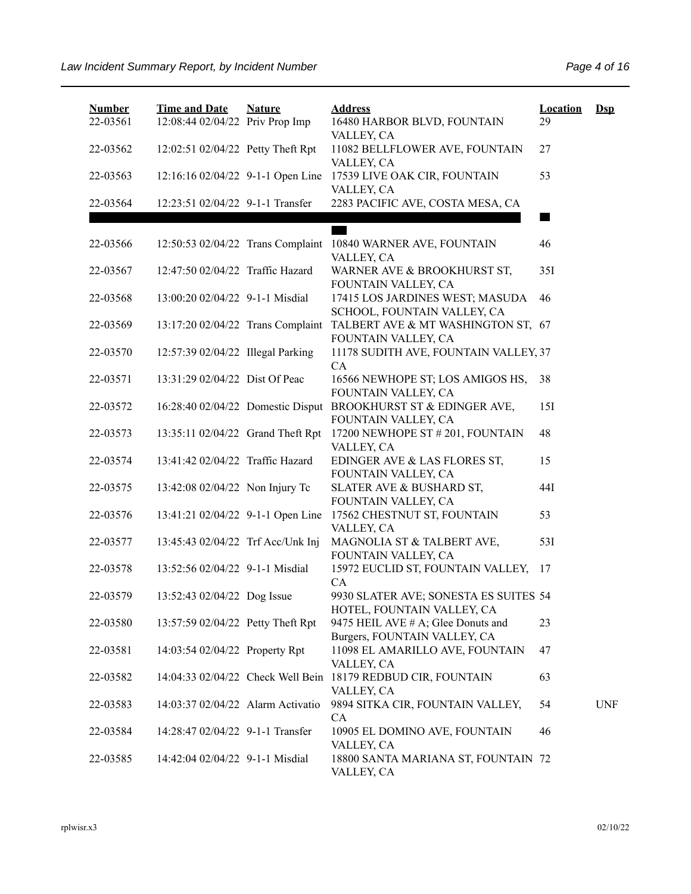| <b>Number</b><br>22-03561 | <b>Time and Date</b><br>12:08:44 02/04/22 Priv Prop Imp | <b>Nature</b> | <b>Address</b><br>16480 HARBOR BLVD, FOUNTAIN                              | <b>Location</b><br>29 | $\mathbf{Dsp}$ |
|---------------------------|---------------------------------------------------------|---------------|----------------------------------------------------------------------------|-----------------------|----------------|
| 22-03562                  | 12:02:51 02/04/22 Petty Theft Rpt                       |               | VALLEY, CA<br>11082 BELLFLOWER AVE, FOUNTAIN<br>VALLEY, CA                 | 27                    |                |
| 22-03563                  | 12:16:16 02/04/22 9-1-1 Open Line                       |               | 17539 LIVE OAK CIR, FOUNTAIN<br>VALLEY, CA                                 | 53                    |                |
| 22-03564                  | 12:23:51 02/04/22 9-1-1 Transfer                        |               | 2283 PACIFIC AVE, COSTA MESA, CA                                           |                       |                |
| 22-03566                  |                                                         |               | 12:50:53 02/04/22 Trans Complaint 10840 WARNER AVE, FOUNTAIN<br>VALLEY, CA | 46                    |                |
| 22-03567                  | 12:47:50 02/04/22 Traffic Hazard                        |               | WARNER AVE & BROOKHURST ST,<br>FOUNTAIN VALLEY, CA                         | 35I                   |                |
| 22-03568                  | 13:00:20 02/04/22 9-1-1 Misdial                         |               | 17415 LOS JARDINES WEST; MASUDA<br>SCHOOL, FOUNTAIN VALLEY, CA             | 46                    |                |
| 22-03569                  | 13:17:20 02/04/22 Trans Complaint                       |               | TALBERT AVE & MT WASHINGTON ST, 67<br>FOUNTAIN VALLEY, CA                  |                       |                |
| 22-03570                  | 12:57:39 02/04/22 Illegal Parking                       |               | 11178 SUDITH AVE, FOUNTAIN VALLEY, 37<br>CA                                |                       |                |
| 22-03571                  | 13:31:29 02/04/22 Dist Of Peac                          |               | 16566 NEWHOPE ST; LOS AMIGOS HS,<br>FOUNTAIN VALLEY, CA                    | 38                    |                |
| 22-03572                  | 16:28:40 02/04/22 Domestic Disput                       |               | BROOKHURST ST & EDINGER AVE,<br>FOUNTAIN VALLEY, CA                        | 15I                   |                |
| 22-03573                  | 13:35:11 02/04/22 Grand Theft Rpt                       |               | 17200 NEWHOPE ST # 201, FOUNTAIN<br>VALLEY, CA                             | 48                    |                |
| 22-03574                  | 13:41:42 02/04/22 Traffic Hazard                        |               | EDINGER AVE & LAS FLORES ST,<br>FOUNTAIN VALLEY, CA                        | 15                    |                |
| 22-03575                  | 13:42:08 02/04/22 Non Injury Tc                         |               | SLATER AVE & BUSHARD ST,<br>FOUNTAIN VALLEY, CA                            | 44I                   |                |
| 22-03576                  | 13:41:21 02/04/22 9-1-1 Open Line                       |               | 17562 CHESTNUT ST, FOUNTAIN<br>VALLEY, CA                                  | 53                    |                |
| 22-03577                  | 13:45:43 02/04/22 Trf Acc/Unk Inj                       |               | MAGNOLIA ST & TALBERT AVE,<br>FOUNTAIN VALLEY, CA                          | 53I                   |                |
| 22-03578                  | 13:52:56 02/04/22 9-1-1 Misdial                         |               | 15972 EUCLID ST, FOUNTAIN VALLEY, 17<br>CA                                 |                       |                |
| 22-03579                  | 13:52:43 02/04/22 Dog Issue                             |               | 9930 SLATER AVE; SONESTA ES SUITES 54<br>HOTEL, FOUNTAIN VALLEY, CA        |                       |                |
| 22-03580                  | 13:57:59 02/04/22 Petty Theft Rpt                       |               | 9475 HEIL AVE # A; Glee Donuts and<br>Burgers, FOUNTAIN VALLEY, CA         | 23                    |                |
| 22-03581                  | 14:03:54 02/04/22 Property Rpt                          |               | 11098 EL AMARILLO AVE, FOUNTAIN<br>VALLEY, CA                              | 47                    |                |
| 22-03582                  | 14:04:33 02/04/22 Check Well Bein                       |               | 18179 REDBUD CIR, FOUNTAIN<br>VALLEY, CA                                   | 63                    |                |
| 22-03583                  | 14:03:37 02/04/22 Alarm Activatio                       |               | 9894 SITKA CIR, FOUNTAIN VALLEY,<br><b>CA</b>                              | 54                    | <b>UNF</b>     |
| 22-03584                  | 14:28:47 02/04/22 9-1-1 Transfer                        |               | 10905 EL DOMINO AVE, FOUNTAIN<br>VALLEY, CA                                | 46                    |                |
| 22-03585                  | 14:42:04 02/04/22 9-1-1 Misdial                         |               | 18800 SANTA MARIANA ST, FOUNTAIN 72<br>VALLEY, CA                          |                       |                |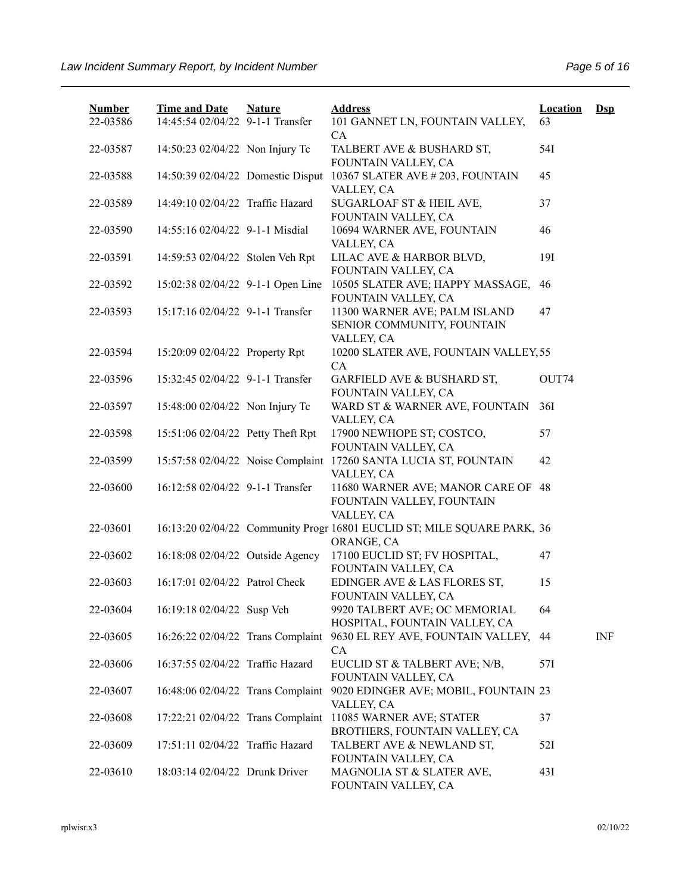| <b>Number</b> | <b>Time and Date</b>              | <b>Nature</b> | <b>Address</b>                                                                        | <b>Location</b> | $Dsp$      |
|---------------|-----------------------------------|---------------|---------------------------------------------------------------------------------------|-----------------|------------|
| 22-03586      | 14:45:54 02/04/22 9-1-1 Transfer  |               | 101 GANNET LN, FOUNTAIN VALLEY,<br>CA                                                 | 63              |            |
| 22-03587      | 14:50:23 02/04/22 Non Injury Tc   |               | TALBERT AVE & BUSHARD ST,<br>FOUNTAIN VALLEY, CA                                      | 54I             |            |
| 22-03588      | 14:50:39 02/04/22 Domestic Disput |               | 10367 SLATER AVE #203, FOUNTAIN<br>VALLEY, CA                                         | 45              |            |
| 22-03589      | 14:49:10 02/04/22 Traffic Hazard  |               | SUGARLOAF ST & HEIL AVE,<br>FOUNTAIN VALLEY, CA                                       | 37              |            |
| 22-03590      | 14:55:16 02/04/22 9-1-1 Misdial   |               | 10694 WARNER AVE, FOUNTAIN<br>VALLEY, CA                                              | 46              |            |
| 22-03591      | 14:59:53 02/04/22 Stolen Veh Rpt  |               | LILAC AVE & HARBOR BLVD,<br>FOUNTAIN VALLEY, CA                                       | 191             |            |
| 22-03592      | 15:02:38 02/04/22 9-1-1 Open Line |               | 10505 SLATER AVE; HAPPY MASSAGE,<br>FOUNTAIN VALLEY, CA                               | 46              |            |
| 22-03593      | 15:17:16 02/04/22 9-1-1 Transfer  |               | 11300 WARNER AVE; PALM ISLAND<br>SENIOR COMMUNITY, FOUNTAIN                           | 47              |            |
| 22-03594      | 15:20:09 02/04/22 Property Rpt    |               | VALLEY, CA<br>10200 SLATER AVE, FOUNTAIN VALLEY, 55<br>CA                             |                 |            |
| 22-03596      | 15:32:45 02/04/22 9-1-1 Transfer  |               | GARFIELD AVE & BUSHARD ST,<br>FOUNTAIN VALLEY, CA                                     | OUT74           |            |
| 22-03597      | 15:48:00 02/04/22 Non Injury Tc   |               | WARD ST & WARNER AVE, FOUNTAIN<br>VALLEY, CA                                          | 36I             |            |
| 22-03598      | 15:51:06 02/04/22 Petty Theft Rpt |               | 17900 NEWHOPE ST; COSTCO,<br>FOUNTAIN VALLEY, CA                                      | 57              |            |
| 22-03599      |                                   |               | 15:57:58 02/04/22 Noise Complaint 17260 SANTA LUCIA ST, FOUNTAIN<br>VALLEY, CA        | 42              |            |
| 22-03600      | 16:12:58 02/04/22 9-1-1 Transfer  |               | 11680 WARNER AVE; MANOR CARE OF 48<br>FOUNTAIN VALLEY, FOUNTAIN<br>VALLEY, CA         |                 |            |
| 22-03601      |                                   |               | 16:13:20 02/04/22 Community Progr 16801 EUCLID ST; MILE SQUARE PARK, 36<br>ORANGE, CA |                 |            |
| 22-03602      | 16:18:08 02/04/22 Outside Agency  |               | 17100 EUCLID ST; FV HOSPITAL,<br>FOUNTAIN VALLEY, CA                                  | 47              |            |
| 22-03603      | 16:17:01 02/04/22 Patrol Check    |               | EDINGER AVE & LAS FLORES ST,<br>FOUNTAIN VALLEY, CA                                   | 15              |            |
| 22-03604      | 16:19:18 02/04/22 Susp Veh        |               | 9920 TALBERT AVE; OC MEMORIAL<br>HOSPITAL, FOUNTAIN VALLEY, CA                        | 64              |            |
| 22-03605      | 16:26:22 02/04/22 Trans Complaint |               | 9630 EL REY AVE, FOUNTAIN VALLEY,<br>CA                                               | 44              | <b>INF</b> |
| 22-03606      | 16:37:55 02/04/22 Traffic Hazard  |               | EUCLID ST & TALBERT AVE; N/B,<br>FOUNTAIN VALLEY, CA                                  | 57I             |            |
| 22-03607      | 16:48:06 02/04/22 Trans Complaint |               | 9020 EDINGER AVE; MOBIL, FOUNTAIN 23<br>VALLEY, CA                                    |                 |            |
| 22-03608      | 17:22:21 02/04/22 Trans Complaint |               | 11085 WARNER AVE; STATER<br>BROTHERS, FOUNTAIN VALLEY, CA                             | 37              |            |
| 22-03609      | 17:51:11 02/04/22 Traffic Hazard  |               | TALBERT AVE & NEWLAND ST,<br>FOUNTAIN VALLEY, CA                                      | 52I             |            |
| 22-03610      | 18:03:14 02/04/22 Drunk Driver    |               | MAGNOLIA ST & SLATER AVE,<br>FOUNTAIN VALLEY, CA                                      | 43I             |            |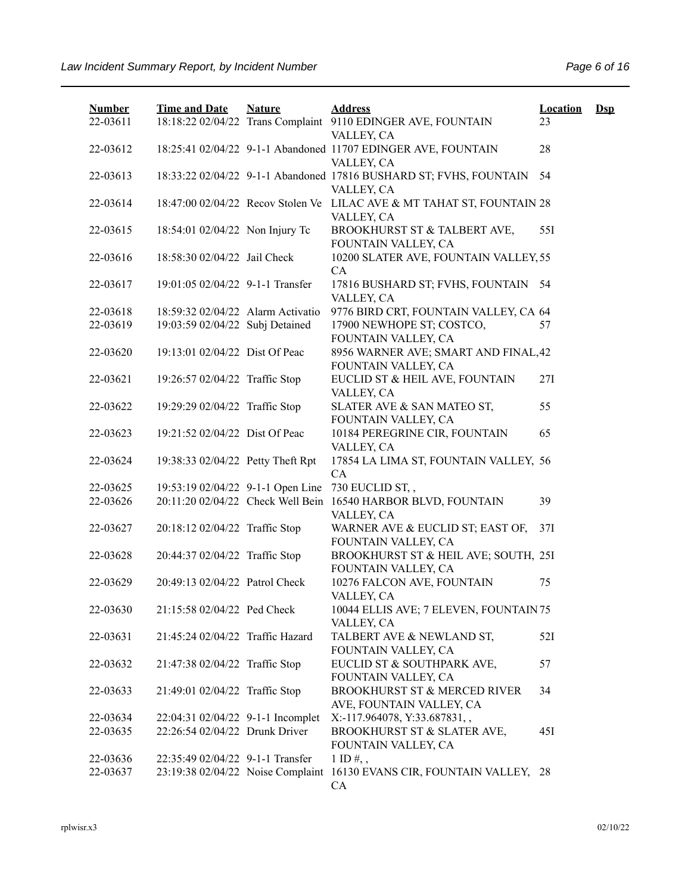| <b>Number</b><br>22-03611 | <b>Time and Date</b>              | <b>Nature</b> | <b>Address</b><br>18:18:22 02/04/22 Trans Complaint 9110 EDINGER AVE, FOUNTAIN   | <b>Location</b><br>23 | $\mathbf{Dsp}$ |
|---------------------------|-----------------------------------|---------------|----------------------------------------------------------------------------------|-----------------------|----------------|
|                           |                                   |               | VALLEY, CA                                                                       |                       |                |
| 22-03612                  |                                   |               | 18:25:41 02/04/22 9-1-1 Abandoned 11707 EDINGER AVE, FOUNTAIN<br>VALLEY, CA      | 28                    |                |
| 22-03613                  |                                   |               | 18:33:22 02/04/22 9-1-1 Abandoned 17816 BUSHARD ST; FVHS, FOUNTAIN<br>VALLEY, CA | 54                    |                |
| 22-03614                  | 18:47:00 02/04/22 Recov Stolen Ve |               | LILAC AVE & MT TAHAT ST, FOUNTAIN 28<br>VALLEY, CA                               |                       |                |
| 22-03615                  | 18:54:01 02/04/22 Non Injury Tc   |               | BROOKHURST ST & TALBERT AVE,<br>FOUNTAIN VALLEY, CA                              | 55I                   |                |
| 22-03616                  | 18:58:30 02/04/22 Jail Check      |               | 10200 SLATER AVE, FOUNTAIN VALLEY, 55<br>CA                                      |                       |                |
| 22-03617                  | 19:01:05 02/04/22 9-1-1 Transfer  |               | 17816 BUSHARD ST; FVHS, FOUNTAIN 54<br>VALLEY, CA                                |                       |                |
| 22-03618                  | 18:59:32 02/04/22 Alarm Activatio |               | 9776 BIRD CRT, FOUNTAIN VALLEY, CA 64                                            |                       |                |
| 22-03619                  | 19:03:59 02/04/22 Subj Detained   |               | 17900 NEWHOPE ST; COSTCO,                                                        | 57                    |                |
|                           |                                   |               | FOUNTAIN VALLEY, CA                                                              |                       |                |
| 22-03620                  | 19:13:01 02/04/22 Dist Of Peac    |               | 8956 WARNER AVE; SMART AND FINAL, 42<br>FOUNTAIN VALLEY, CA                      |                       |                |
| 22-03621                  | 19:26:57 02/04/22 Traffic Stop    |               | EUCLID ST & HEIL AVE, FOUNTAIN<br>VALLEY, CA                                     | 27I                   |                |
| 22-03622                  | 19:29:29 02/04/22 Traffic Stop    |               | SLATER AVE & SAN MATEO ST,<br>FOUNTAIN VALLEY, CA                                | 55                    |                |
| 22-03623                  | 19:21:52 02/04/22 Dist Of Peac    |               | 10184 PEREGRINE CIR, FOUNTAIN<br>VALLEY, CA                                      | 65                    |                |
| 22-03624                  | 19:38:33 02/04/22 Petty Theft Rpt |               | 17854 LA LIMA ST, FOUNTAIN VALLEY, 56<br>CA                                      |                       |                |
| 22-03625                  | 19:53:19 02/04/22 9-1-1 Open Line |               | 730 EUCLID ST,,                                                                  |                       |                |
| 22-03626                  |                                   |               | 20:11:20 02/04/22 Check Well Bein 16540 HARBOR BLVD, FOUNTAIN                    | 39                    |                |
|                           |                                   |               | VALLEY, CA                                                                       |                       |                |
| 22-03627                  | 20:18:12 02/04/22 Traffic Stop    |               | WARNER AVE & EUCLID ST; EAST OF,<br>FOUNTAIN VALLEY, CA                          | 37I                   |                |
| 22-03628                  | 20:44:37 02/04/22 Traffic Stop    |               | BROOKHURST ST & HEIL AVE; SOUTH, 25I<br>FOUNTAIN VALLEY, CA                      |                       |                |
| 22-03629                  | 20:49:13 02/04/22 Patrol Check    |               | 10276 FALCON AVE, FOUNTAIN<br>VALLEY, CA                                         | 75                    |                |
| 22-03630                  | 21:15:58 02/04/22 Ped Check       |               | 10044 ELLIS AVE; 7 ELEVEN, FOUNTAIN 75<br>VALLEY, CA                             |                       |                |
| 22-03631                  | 21:45:24 02/04/22 Traffic Hazard  |               | TALBERT AVE & NEWLAND ST,<br>FOUNTAIN VALLEY, CA                                 | 52I                   |                |
| 22-03632                  | 21:47:38 02/04/22 Traffic Stop    |               | EUCLID ST & SOUTHPARK AVE,<br>FOUNTAIN VALLEY, CA                                | 57                    |                |
| 22-03633                  | 21:49:01 02/04/22 Traffic Stop    |               | BROOKHURST ST & MERCED RIVER<br>AVE, FOUNTAIN VALLEY, CA                         | 34                    |                |
| 22-03634                  | 22:04:31 02/04/22 9-1-1 Incomplet |               | X:-117.964078, Y:33.687831,,                                                     |                       |                |
| 22-03635                  | 22:26:54 02/04/22 Drunk Driver    |               | BROOKHURST ST & SLATER AVE,<br>FOUNTAIN VALLEY, CA                               | 45I                   |                |
| 22-03636                  | 22:35:49 02/04/22 9-1-1 Transfer  |               | $1$ ID $\#$ , ,                                                                  |                       |                |
| 22-03637                  | 23:19:38 02/04/22 Noise Complaint |               | 16130 EVANS CIR, FOUNTAIN VALLEY, 28<br>CA                                       |                       |                |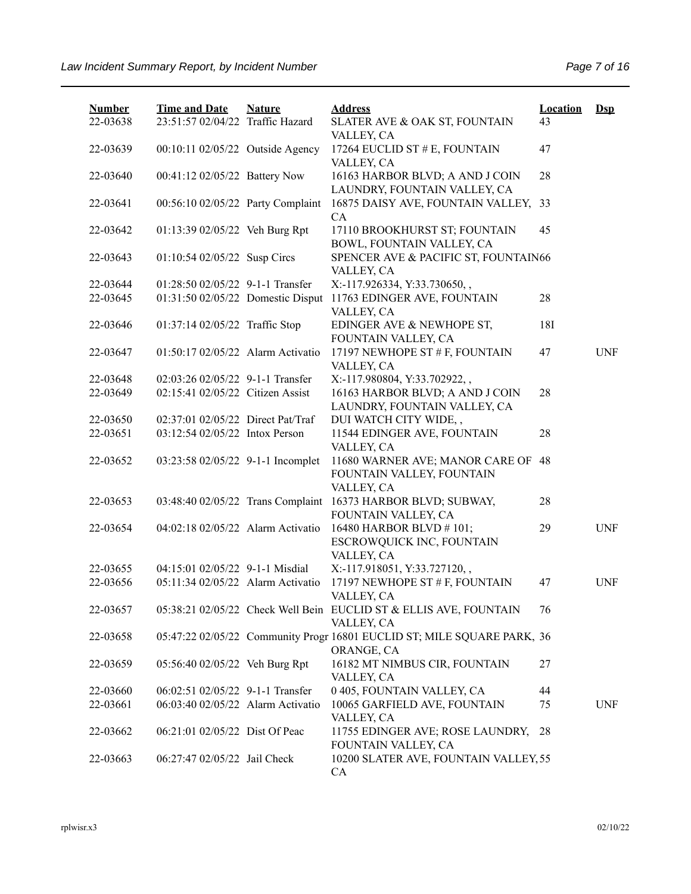| <b>Number</b><br>22-03638 | <b>Time and Date</b><br>23:51:57 02/04/22 Traffic Hazard | <b>Nature</b> | <b>Address</b><br>SLATER AVE & OAK ST, FOUNTAIN                                       | <b>Location</b><br>43 | $\mathbf{Dsp}$ |
|---------------------------|----------------------------------------------------------|---------------|---------------------------------------------------------------------------------------|-----------------------|----------------|
| 22-03639                  | 00:10:11 02/05/22 Outside Agency                         |               | VALLEY, CA<br>17264 EUCLID ST # E, FOUNTAIN<br>VALLEY, CA                             | 47                    |                |
| 22-03640                  | 00:41:12 02/05/22 Battery Now                            |               | 16163 HARBOR BLVD; A AND J COIN<br>LAUNDRY, FOUNTAIN VALLEY, CA                       | 28                    |                |
| 22-03641                  | 00:56:10 02/05/22 Party Complaint                        |               | 16875 DAISY AVE, FOUNTAIN VALLEY,<br>CA                                               | 33                    |                |
| 22-03642                  | 01:13:39 02/05/22 Veh Burg Rpt                           |               | 17110 BROOKHURST ST; FOUNTAIN<br>BOWL, FOUNTAIN VALLEY, CA                            | 45                    |                |
| 22-03643                  | 01:10:54 02/05/22 Susp Circs                             |               | SPENCER AVE & PACIFIC ST, FOUNTAIN66<br>VALLEY, CA                                    |                       |                |
| 22-03644                  | 01:28:50 02/05/22 9-1-1 Transfer                         |               | X:-117.926334, Y:33.730650,,                                                          |                       |                |
| 22-03645                  | 01:31:50 02/05/22 Domestic Disput                        |               | 11763 EDINGER AVE, FOUNTAIN<br>VALLEY, CA                                             | 28                    |                |
| 22-03646                  | 01:37:14 02/05/22 Traffic Stop                           |               | EDINGER AVE & NEWHOPE ST,<br>FOUNTAIN VALLEY, CA                                      | 18I                   |                |
| 22-03647                  | 01:50:17 02/05/22 Alarm Activatio                        |               | 17197 NEWHOPE ST # F, FOUNTAIN<br>VALLEY, CA                                          | 47                    | <b>UNF</b>     |
| 22-03648                  | 02:03:26 02/05/22 9-1-1 Transfer                         |               | X:-117.980804, Y:33.702922,,                                                          |                       |                |
| 22-03649                  | 02:15:41 02/05/22 Citizen Assist                         |               | 16163 HARBOR BLVD; A AND J COIN<br>LAUNDRY, FOUNTAIN VALLEY, CA                       | 28                    |                |
| 22-03650                  | 02:37:01 02/05/22 Direct Pat/Traf                        |               | DUI WATCH CITY WIDE,,                                                                 |                       |                |
| 22-03651                  | 03:12:54 02/05/22 Intox Person                           |               | 11544 EDINGER AVE, FOUNTAIN                                                           | 28                    |                |
|                           |                                                          |               | VALLEY, CA                                                                            |                       |                |
| 22-03652                  | 03:23:58 02/05/22 9-1-1 Incomplet                        |               | 11680 WARNER AVE; MANOR CARE OF<br>FOUNTAIN VALLEY, FOUNTAIN                          | 48                    |                |
|                           |                                                          |               | VALLEY, CA                                                                            |                       |                |
| 22-03653                  | 03:48:40 02/05/22 Trans Complaint                        |               | 16373 HARBOR BLVD; SUBWAY,<br>FOUNTAIN VALLEY, CA                                     | 28                    |                |
| 22-03654                  | 04:02:18 02/05/22 Alarm Activatio                        |               | 16480 HARBOR BLVD #101;<br>ESCROWQUICK INC, FOUNTAIN                                  | 29                    | <b>UNF</b>     |
|                           |                                                          |               | VALLEY, CA                                                                            |                       |                |
| 22-03655                  | 04:15:01 02/05/22 9-1-1 Misdial                          |               | X:-117.918051, Y:33.727120,,                                                          |                       |                |
| 22-03656                  | 05:11:34 02/05/22 Alarm Activatio                        |               | 17197 NEWHOPE ST # F, FOUNTAIN<br>VALLEY, CA                                          | 47                    | <b>UNF</b>     |
| 22-03657                  |                                                          |               | 05:38:21 02/05/22 Check Well Bein EUCLID ST & ELLIS AVE, FOUNTAIN<br>VALLEY, CA       | 76                    |                |
| 22-03658                  |                                                          |               | 05:47:22 02/05/22 Community Progr 16801 EUCLID ST; MILE SQUARE PARK, 36<br>ORANGE, CA |                       |                |
| 22-03659                  | 05:56:40 02/05/22 Veh Burg Rpt                           |               | 16182 MT NIMBUS CIR, FOUNTAIN<br>VALLEY, CA                                           | 27                    |                |
| 22-03660                  | 06:02:51 02/05/22 9-1-1 Transfer                         |               | 0 405, FOUNTAIN VALLEY, CA                                                            | 44                    |                |
| 22-03661                  | 06:03:40 02/05/22 Alarm Activatio                        |               | 10065 GARFIELD AVE, FOUNTAIN<br>VALLEY, CA                                            | 75                    | <b>UNF</b>     |
| 22-03662                  | 06:21:01 02/05/22 Dist Of Peac                           |               | 11755 EDINGER AVE; ROSE LAUNDRY,<br>FOUNTAIN VALLEY, CA                               | 28                    |                |
| 22-03663                  | 06:27:47 02/05/22 Jail Check                             |               | 10200 SLATER AVE, FOUNTAIN VALLEY, 55<br>CA                                           |                       |                |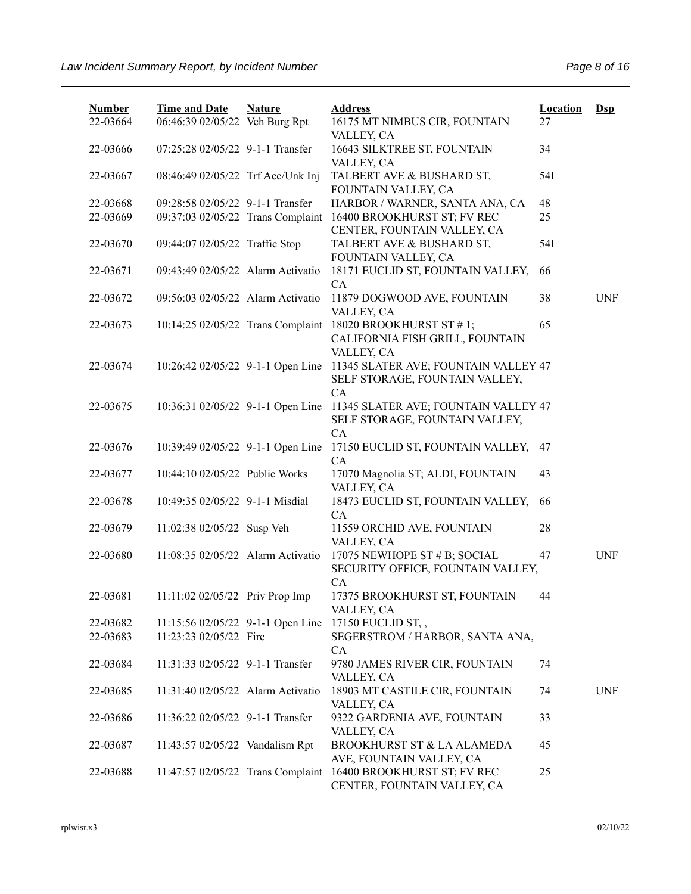| <b>Number</b> | <b>Time and Date</b>              | <b>Nature</b> | <b>Address</b>                                                                               | <b>Location</b> | $Ds$       |
|---------------|-----------------------------------|---------------|----------------------------------------------------------------------------------------------|-----------------|------------|
| 22-03664      | 06:46:39 02/05/22 Veh Burg Rpt    |               | 16175 MT NIMBUS CIR, FOUNTAIN<br>VALLEY, CA                                                  | 27              |            |
| 22-03666      | 07:25:28 02/05/22 9-1-1 Transfer  |               | 16643 SILKTREE ST, FOUNTAIN<br>VALLEY, CA                                                    | 34              |            |
| 22-03667      | 08:46:49 02/05/22 Trf Acc/Unk Inj |               | TALBERT AVE & BUSHARD ST,<br>FOUNTAIN VALLEY, CA                                             | 54I             |            |
| 22-03668      | 09:28:58 02/05/22 9-1-1 Transfer  |               | HARBOR / WARNER, SANTA ANA, CA                                                               | 48              |            |
| 22-03669      | 09:37:03 02/05/22 Trans Complaint |               | 16400 BROOKHURST ST; FV REC<br>CENTER, FOUNTAIN VALLEY, CA                                   | 25              |            |
| 22-03670      | 09:44:07 02/05/22 Traffic Stop    |               | TALBERT AVE & BUSHARD ST,<br>FOUNTAIN VALLEY, CA                                             | 54I             |            |
| 22-03671      | 09:43:49 02/05/22 Alarm Activatio |               | 18171 EUCLID ST, FOUNTAIN VALLEY,<br>CA                                                      | 66              |            |
| 22-03672      | 09:56:03 02/05/22 Alarm Activatio |               | 11879 DOGWOOD AVE, FOUNTAIN<br>VALLEY, CA                                                    | 38              | <b>UNF</b> |
| 22-03673      |                                   |               | 10:14:25 02/05/22 Trans Complaint 18020 BROOKHURST ST #1;<br>CALIFORNIA FISH GRILL, FOUNTAIN | 65              |            |
|               |                                   |               | VALLEY, CA                                                                                   |                 |            |
| 22-03674      | 10:26:42 02/05/22 9-1-1 Open Line |               | 11345 SLATER AVE; FOUNTAIN VALLEY 47<br>SELF STORAGE, FOUNTAIN VALLEY,                       |                 |            |
|               | 10:36:31 02/05/22 9-1-1 Open Line |               | CA<br>11345 SLATER AVE; FOUNTAIN VALLEY 47                                                   |                 |            |
| 22-03675      |                                   |               | SELF STORAGE, FOUNTAIN VALLEY,                                                               |                 |            |
| 22-03676      | 10:39:49 02/05/22 9-1-1 Open Line |               | CA<br>17150 EUCLID ST, FOUNTAIN VALLEY,                                                      | 47              |            |
| 22-03677      | 10:44:10 02/05/22 Public Works    |               | CA<br>17070 Magnolia ST; ALDI, FOUNTAIN<br>VALLEY, CA                                        | 43              |            |
| 22-03678      | 10:49:35 02/05/22 9-1-1 Misdial   |               | 18473 EUCLID ST, FOUNTAIN VALLEY,<br>CA                                                      | 66              |            |
| 22-03679      | 11:02:38 02/05/22 Susp Veh        |               | 11559 ORCHID AVE, FOUNTAIN<br>VALLEY, CA                                                     | 28              |            |
| 22-03680      | 11:08:35 02/05/22 Alarm Activatio |               | 17075 NEWHOPE ST # B; SOCIAL<br>SECURITY OFFICE, FOUNTAIN VALLEY,                            | 47              | <b>UNF</b> |
| 22-03681      |                                   |               | CA<br>17375 BROOKHURST ST, FOUNTAIN                                                          | 44              |            |
|               | 11:11:02 02/05/22 Priv Prop Imp   |               | VALLEY, CA                                                                                   |                 |            |
| 22-03682      | 11:15:56 02/05/22 9-1-1 Open Line |               | 17150 EUCLID ST,,                                                                            |                 |            |
| 22-03683      | 11:23:23 02/05/22 Fire            |               | SEGERSTROM / HARBOR, SANTA ANA,<br>CA                                                        |                 |            |
| 22-03684      | 11:31:33 02/05/22 9-1-1 Transfer  |               | 9780 JAMES RIVER CIR, FOUNTAIN<br>VALLEY, CA                                                 | 74              |            |
| 22-03685      | 11:31:40 02/05/22 Alarm Activatio |               | 18903 MT CASTILE CIR, FOUNTAIN<br>VALLEY, CA                                                 | 74              | <b>UNF</b> |
| 22-03686      | 11:36:22 02/05/22 9-1-1 Transfer  |               | 9322 GARDENIA AVE, FOUNTAIN<br>VALLEY, CA                                                    | 33              |            |
| 22-03687      | 11:43:57 02/05/22 Vandalism Rpt   |               | BROOKHURST ST & LA ALAMEDA<br>AVE, FOUNTAIN VALLEY, CA                                       | 45              |            |
| 22-03688      | 11:47:57 02/05/22 Trans Complaint |               | 16400 BROOKHURST ST; FV REC<br>CENTER, FOUNTAIN VALLEY, CA                                   | 25              |            |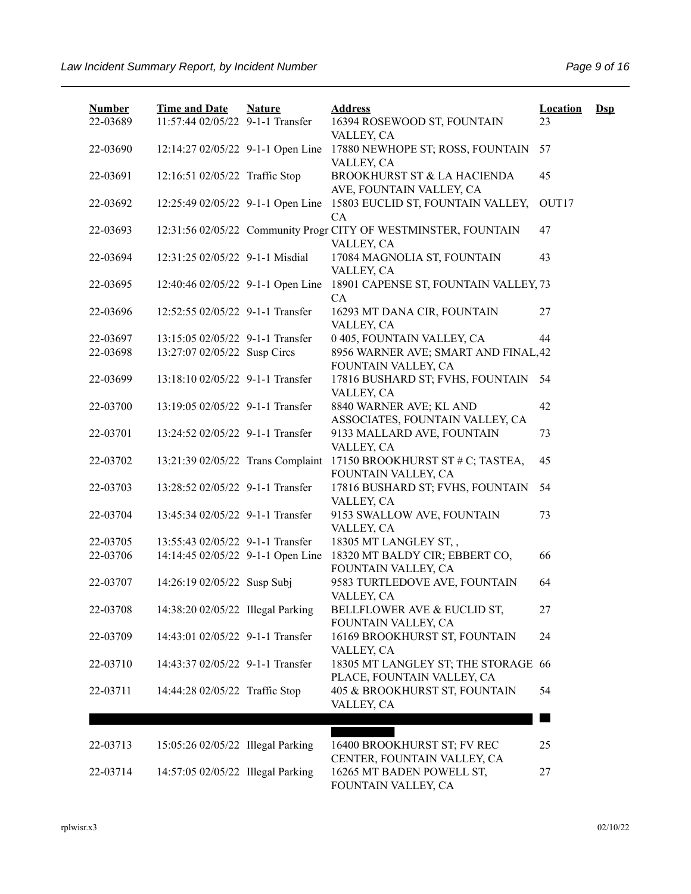| <b>Number</b> | <b>Time and Date</b>              | <b>Nature</b> | <b>Address</b>                                                                | <b>Location</b> | $\mathbf{Dsp}$ |
|---------------|-----------------------------------|---------------|-------------------------------------------------------------------------------|-----------------|----------------|
| 22-03689      | 11:57:44 02/05/22 9-1-1 Transfer  |               | 16394 ROSEWOOD ST, FOUNTAIN<br>VALLEY, CA                                     | 23              |                |
| 22-03690      | 12:14:27 02/05/22 9-1-1 Open Line |               | 17880 NEWHOPE ST; ROSS, FOUNTAIN<br>VALLEY, CA                                | 57              |                |
| 22-03691      | 12:16:51 02/05/22 Traffic Stop    |               | BROOKHURST ST & LA HACIENDA<br>AVE, FOUNTAIN VALLEY, CA                       | 45              |                |
| 22-03692      | 12:25:49 02/05/22 9-1-1 Open Line |               | 15803 EUCLID ST, FOUNTAIN VALLEY,<br>CA                                       | OUT17           |                |
| 22-03693      |                                   |               | 12:31:56 02/05/22 Community Progr CITY OF WESTMINSTER, FOUNTAIN<br>VALLEY, CA | 47              |                |
| 22-03694      | 12:31:25 02/05/22 9-1-1 Misdial   |               | 17084 MAGNOLIA ST, FOUNTAIN<br>VALLEY, CA                                     | 43              |                |
| 22-03695      | 12:40:46 02/05/22 9-1-1 Open Line |               | 18901 CAPENSE ST, FOUNTAIN VALLEY, 73<br>CA                                   |                 |                |
| 22-03696      | 12:52:55 02/05/22 9-1-1 Transfer  |               | 16293 MT DANA CIR, FOUNTAIN<br>VALLEY, CA                                     | 27              |                |
| 22-03697      | 13:15:05 02/05/22 9-1-1 Transfer  |               | 0 405, FOUNTAIN VALLEY, CA                                                    | 44              |                |
| 22-03698      | 13:27:07 02/05/22 Susp Circs      |               | 8956 WARNER AVE; SMART AND FINAL, 42<br>FOUNTAIN VALLEY, CA                   |                 |                |
| 22-03699      | 13:18:10 02/05/22 9-1-1 Transfer  |               | 17816 BUSHARD ST; FVHS, FOUNTAIN<br>VALLEY, CA                                | 54              |                |
| 22-03700      | 13:19:05 02/05/22 9-1-1 Transfer  |               | 8840 WARNER AVE; KL AND<br>ASSOCIATES, FOUNTAIN VALLEY, CA                    | 42              |                |
| 22-03701      | 13:24:52 02/05/22 9-1-1 Transfer  |               | 9133 MALLARD AVE, FOUNTAIN<br>VALLEY, CA                                      | 73              |                |
| 22-03702      | 13:21:39 02/05/22 Trans Complaint |               | 17150 BROOKHURST ST # C; TASTEA,<br>FOUNTAIN VALLEY, CA                       | 45              |                |
| 22-03703      | 13:28:52 02/05/22 9-1-1 Transfer  |               | 17816 BUSHARD ST; FVHS, FOUNTAIN<br>VALLEY, CA                                | 54              |                |
| 22-03704      | 13:45:34 02/05/22 9-1-1 Transfer  |               | 9153 SWALLOW AVE, FOUNTAIN<br>VALLEY, CA                                      | 73              |                |
| 22-03705      | 13:55:43 02/05/22 9-1-1 Transfer  |               | 18305 MT LANGLEY ST,,                                                         |                 |                |
| 22-03706      | 14:14:45 02/05/22 9-1-1 Open Line |               | 18320 MT BALDY CIR; EBBERT CO,<br>FOUNTAIN VALLEY, CA                         | 66              |                |
| 22-03707      | 14:26:19 02/05/22 Susp Subj       |               | 9583 TURTLEDOVE AVE, FOUNTAIN<br>VALLEY, CA                                   | 64              |                |
| 22-03708      | 14:38:20 02/05/22 Illegal Parking |               | BELLFLOWER AVE & EUCLID ST,<br>FOUNTAIN VALLEY, CA                            | 27              |                |
| 22-03709      | 14:43:01 02/05/22 9-1-1 Transfer  |               | 16169 BROOKHURST ST, FOUNTAIN<br>VALLEY, CA                                   | 24              |                |
| 22-03710      | 14:43:37 02/05/22 9-1-1 Transfer  |               | 18305 MT LANGLEY ST; THE STORAGE 66<br>PLACE, FOUNTAIN VALLEY, CA             |                 |                |
| 22-03711      | 14:44:28 02/05/22 Traffic Stop    |               | 405 & BROOKHURST ST, FOUNTAIN<br>VALLEY, CA                                   | 54              |                |
|               |                                   |               |                                                                               |                 |                |
| 22-03713      | 15:05:26 02/05/22 Illegal Parking |               | 16400 BROOKHURST ST; FV REC<br>CENTER, FOUNTAIN VALLEY, CA                    | 25              |                |
| 22-03714      | 14:57:05 02/05/22 Illegal Parking |               | 16265 MT BADEN POWELL ST,<br>FOUNTAIN VALLEY, CA                              | 27              |                |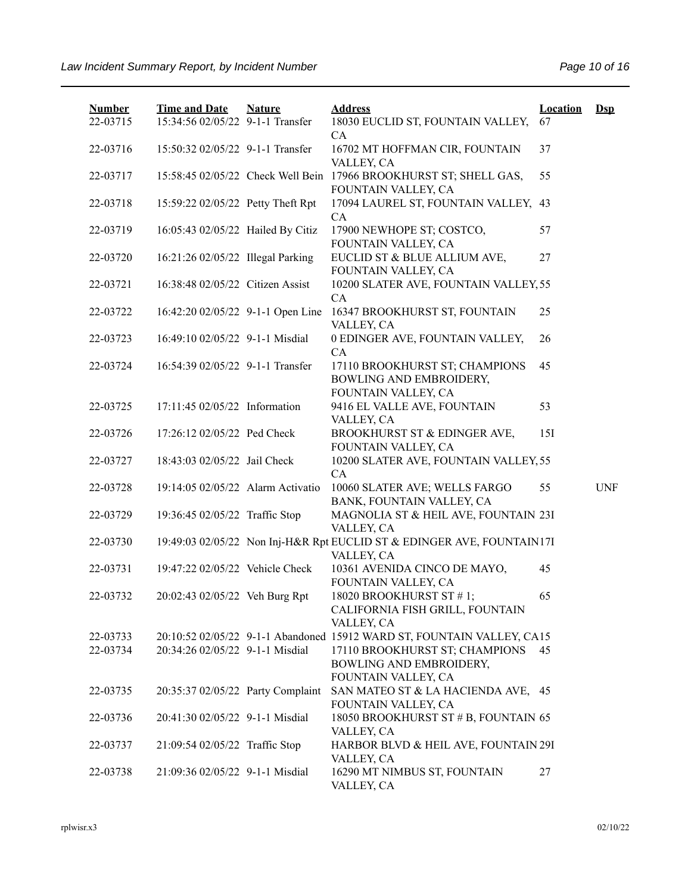| <b>Number</b><br>22-03715 | <b>Time and Date</b><br>15:34:56 02/05/22 9-1-1 Transfer | <b>Nature</b> | <b>Address</b><br>18030 EUCLID ST, FOUNTAIN VALLEY,                                  | <b>Location</b><br>67 | $\mathbf{Dsp}$ |
|---------------------------|----------------------------------------------------------|---------------|--------------------------------------------------------------------------------------|-----------------------|----------------|
| 22-03716                  | 15:50:32 02/05/22 9-1-1 Transfer                         |               | CA<br>16702 MT HOFFMAN CIR, FOUNTAIN                                                 | 37                    |                |
| 22-03717                  | 15:58:45 02/05/22 Check Well Bein                        |               | VALLEY, CA<br>17966 BROOKHURST ST; SHELL GAS,<br>FOUNTAIN VALLEY, CA                 | 55                    |                |
| 22-03718                  | 15:59:22 02/05/22 Petty Theft Rpt                        |               | 17094 LAUREL ST, FOUNTAIN VALLEY, 43<br>CA                                           |                       |                |
| 22-03719                  | 16:05:43 02/05/22 Hailed By Citiz                        |               | 17900 NEWHOPE ST; COSTCO,<br>FOUNTAIN VALLEY, CA                                     | 57                    |                |
| 22-03720                  | 16:21:26 02/05/22 Illegal Parking                        |               | EUCLID ST & BLUE ALLIUM AVE,<br>FOUNTAIN VALLEY, CA                                  | 27                    |                |
| 22-03721                  | 16:38:48 02/05/22 Citizen Assist                         |               | 10200 SLATER AVE, FOUNTAIN VALLEY, 55<br>CA                                          |                       |                |
| 22-03722                  | 16:42:20 02/05/22 9-1-1 Open Line                        |               | 16347 BROOKHURST ST, FOUNTAIN<br>VALLEY, CA                                          | 25                    |                |
| 22-03723                  | 16:49:10 02/05/22 9-1-1 Misdial                          |               | 0 EDINGER AVE, FOUNTAIN VALLEY,<br>CA                                                | 26                    |                |
| 22-03724                  | 16:54:39 02/05/22 9-1-1 Transfer                         |               | 17110 BROOKHURST ST; CHAMPIONS<br>BOWLING AND EMBROIDERY,<br>FOUNTAIN VALLEY, CA     | 45                    |                |
| 22-03725                  | 17:11:45 02/05/22 Information                            |               | 9416 EL VALLE AVE, FOUNTAIN                                                          | 53                    |                |
| 22-03726                  | 17:26:12 02/05/22 Ped Check                              |               | VALLEY, CA<br>BROOKHURST ST & EDINGER AVE,<br>FOUNTAIN VALLEY, CA                    | 15I                   |                |
| 22-03727                  | 18:43:03 02/05/22 Jail Check                             |               | 10200 SLATER AVE, FOUNTAIN VALLEY, 55<br>CA                                          |                       |                |
| 22-03728                  | 19:14:05 02/05/22 Alarm Activatio                        |               | 10060 SLATER AVE; WELLS FARGO<br>BANK, FOUNTAIN VALLEY, CA                           | 55                    | <b>UNF</b>     |
| 22-03729                  | 19:36:45 02/05/22 Traffic Stop                           |               | MAGNOLIA ST & HEIL AVE, FOUNTAIN 23I<br>VALLEY, CA                                   |                       |                |
| 22-03730                  |                                                          |               | 19:49:03 02/05/22 Non Inj-H&R Rpt EUCLID ST & EDINGER AVE, FOUNTAIN17I<br>VALLEY, CA |                       |                |
| 22-03731                  | 19:47:22 02/05/22 Vehicle Check                          |               | 10361 AVENIDA CINCO DE MAYO,<br>FOUNTAIN VALLEY, CA                                  | 45                    |                |
| 22-03732                  | 20:02:43 02/05/22 Veh Burg Rpt                           |               | 18020 BROOKHURST ST #1;<br>CALIFORNIA FISH GRILL, FOUNTAIN<br>VALLEY, CA             | 65                    |                |
| 22-03733                  |                                                          |               | 20:10:52 02/05/22 9-1-1 Abandoned 15912 WARD ST, FOUNTAIN VALLEY, CA15               |                       |                |
| 22-03734                  | 20:34:26 02/05/22 9-1-1 Misdial                          |               | 17110 BROOKHURST ST; CHAMPIONS<br>BOWLING AND EMBROIDERY,<br>FOUNTAIN VALLEY, CA     | 45                    |                |
| 22-03735                  | 20:35:37 02/05/22 Party Complaint                        |               | SAN MATEO ST & LA HACIENDA AVE, 45<br>FOUNTAIN VALLEY, CA                            |                       |                |
| 22-03736                  | 20:41:30 02/05/22 9-1-1 Misdial                          |               | 18050 BROOKHURST ST # B, FOUNTAIN 65<br>VALLEY, CA                                   |                       |                |
| 22-03737                  | 21:09:54 02/05/22 Traffic Stop                           |               | HARBOR BLVD & HEIL AVE, FOUNTAIN 29I<br>VALLEY, CA                                   |                       |                |
| 22-03738                  | 21:09:36 02/05/22 9-1-1 Misdial                          |               | 16290 MT NIMBUS ST, FOUNTAIN<br>VALLEY, CA                                           | 27                    |                |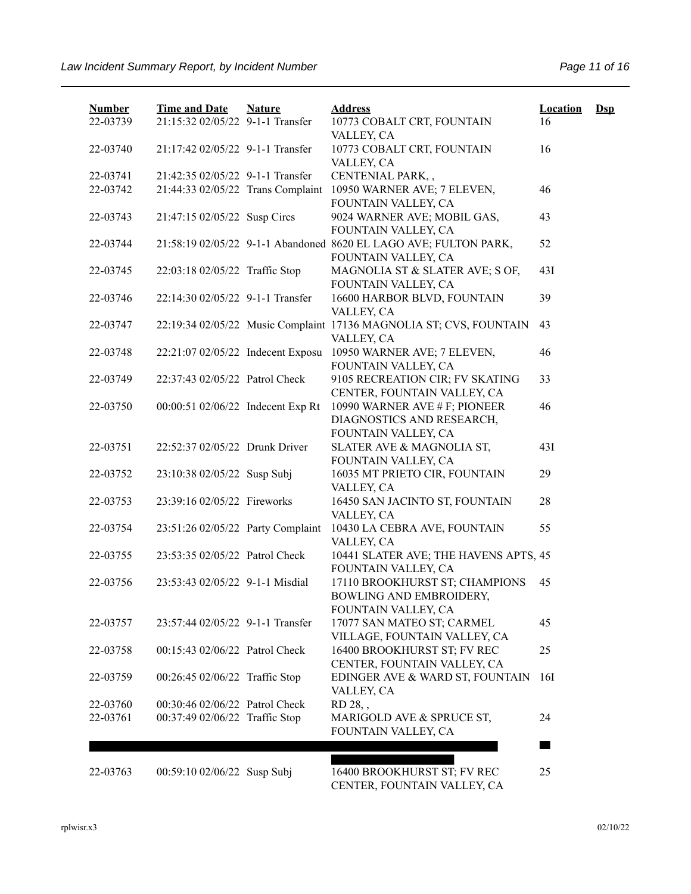| <b>Number</b> | <b>Time and Date</b>              | <b>Nature</b> | <b>Address</b>                                                                          | <b>Location</b> | $\mathbf{Dsp}$ |
|---------------|-----------------------------------|---------------|-----------------------------------------------------------------------------------------|-----------------|----------------|
| 22-03739      | 21:15:32 02/05/22 9-1-1 Transfer  |               | 10773 COBALT CRT, FOUNTAIN                                                              | 16              |                |
| 22-03740      | 21:17:42 02/05/22 9-1-1 Transfer  |               | VALLEY, CA<br>10773 COBALT CRT, FOUNTAIN                                                | 16              |                |
|               |                                   |               | VALLEY, CA                                                                              |                 |                |
| 22-03741      | 21:42:35 02/05/22 9-1-1 Transfer  |               | CENTENIAL PARK,,                                                                        |                 |                |
| 22-03742      | 21:44:33 02/05/22 Trans Complaint |               | 10950 WARNER AVE; 7 ELEVEN,<br>FOUNTAIN VALLEY, CA                                      | 46              |                |
| 22-03743      | 21:47:15 02/05/22 Susp Circs      |               | 9024 WARNER AVE; MOBIL GAS,<br>FOUNTAIN VALLEY, CA                                      | 43              |                |
| 22-03744      |                                   |               | 21:58:19 02/05/22 9-1-1 Abandoned 8620 EL LAGO AVE; FULTON PARK,<br>FOUNTAIN VALLEY, CA | 52              |                |
| 22-03745      | 22:03:18 02/05/22 Traffic Stop    |               | MAGNOLIA ST & SLATER AVE; S OF,<br>FOUNTAIN VALLEY, CA                                  | 43I             |                |
| 22-03746      | 22:14:30 02/05/22 9-1-1 Transfer  |               | 16600 HARBOR BLVD, FOUNTAIN<br>VALLEY, CA                                               | 39              |                |
| 22-03747      |                                   |               | 22:19:34 02/05/22 Music Complaint 17136 MAGNOLIA ST; CVS, FOUNTAIN<br>VALLEY, CA        | 43              |                |
| 22-03748      | 22:21:07 02/05/22 Indecent Exposu |               | 10950 WARNER AVE; 7 ELEVEN,<br>FOUNTAIN VALLEY, CA                                      | 46              |                |
| 22-03749      | 22:37:43 02/05/22 Patrol Check    |               | 9105 RECREATION CIR; FV SKATING<br>CENTER, FOUNTAIN VALLEY, CA                          | 33              |                |
| 22-03750      | 00:00:51 02/06/22 Indecent Exp Rt |               | 10990 WARNER AVE # F; PIONEER<br>DIAGNOSTICS AND RESEARCH,                              | 46              |                |
| 22-03751      | 22:52:37 02/05/22 Drunk Driver    |               | FOUNTAIN VALLEY, CA<br>SLATER AVE & MAGNOLIA ST,                                        | 43I             |                |
|               |                                   |               | FOUNTAIN VALLEY, CA                                                                     |                 |                |
| 22-03752      | 23:10:38 02/05/22 Susp Subj       |               | 16035 MT PRIETO CIR, FOUNTAIN<br>VALLEY, CA                                             | 29              |                |
| 22-03753      | 23:39:16 02/05/22 Fireworks       |               | 16450 SAN JACINTO ST, FOUNTAIN<br>VALLEY, CA                                            | 28              |                |
| 22-03754      | 23:51:26 02/05/22 Party Complaint |               | 10430 LA CEBRA AVE, FOUNTAIN<br>VALLEY, CA                                              | 55              |                |
| 22-03755      | 23:53:35 02/05/22 Patrol Check    |               | 10441 SLATER AVE; THE HAVENS APTS, 45<br>FOUNTAIN VALLEY, CA                            |                 |                |
| 22-03756      | 23:53:43 02/05/22 9-1-1 Misdial   |               | 17110 BROOKHURST ST; CHAMPIONS<br>BOWLING AND EMBROIDERY,<br>FOUNTAIN VALLEY, CA        | 45              |                |
| 22-03757      | 23:57:44 02/05/22 9-1-1 Transfer  |               | 17077 SAN MATEO ST; CARMEL<br>VILLAGE, FOUNTAIN VALLEY, CA                              | 45              |                |
| 22-03758      | 00:15:43 02/06/22 Patrol Check    |               | 16400 BROOKHURST ST; FV REC<br>CENTER, FOUNTAIN VALLEY, CA                              | 25              |                |
| 22-03759      | 00:26:45 02/06/22 Traffic Stop    |               | EDINGER AVE & WARD ST, FOUNTAIN<br>VALLEY, CA                                           | 16I             |                |
| 22-03760      | 00:30:46 02/06/22 Patrol Check    |               | RD 28,,                                                                                 |                 |                |
| 22-03761      | 00:37:49 02/06/22 Traffic Stop    |               | MARIGOLD AVE & SPRUCE ST,<br>FOUNTAIN VALLEY, CA                                        | 24              |                |
|               |                                   |               |                                                                                         |                 |                |
| 22-03763      | 00:59:10 02/06/22 Susp Subj       |               | 16400 BROOKHURST ST; FV REC<br>CENTER, FOUNTAIN VALLEY, CA                              | 25              |                |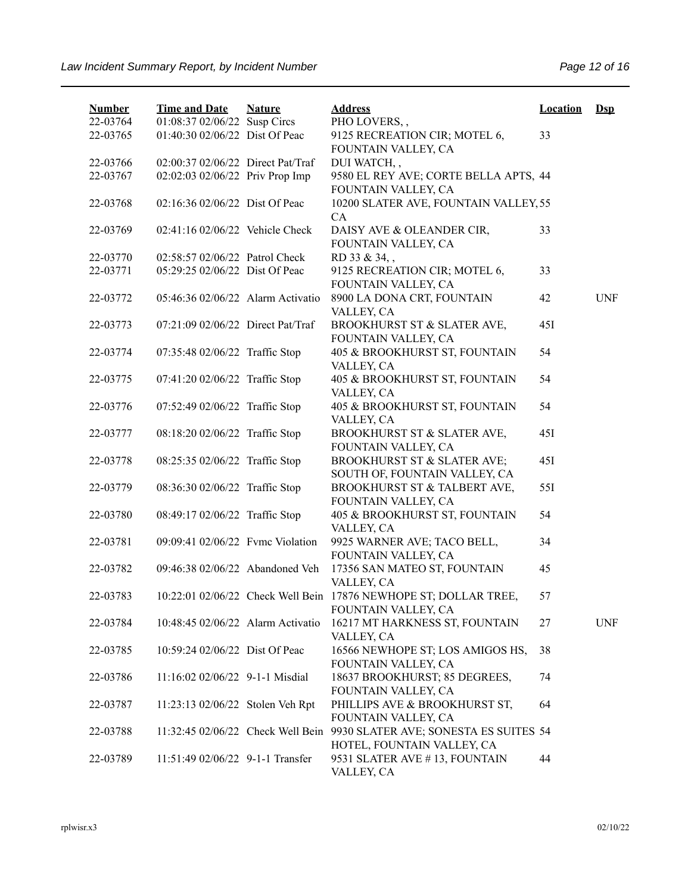| <b>Number</b><br>22-03764 | <b>Time and Date</b><br>01:08:37 02/06/22 Susp Circs | <b>Nature</b> | <b>Address</b><br>PHO LOVERS,,                                                          | <b>Location</b> | $\mathbf{Dsp}$ |
|---------------------------|------------------------------------------------------|---------------|-----------------------------------------------------------------------------------------|-----------------|----------------|
| 22-03765                  | 01:40:30 02/06/22 Dist Of Peac                       |               | 9125 RECREATION CIR; MOTEL 6,<br>FOUNTAIN VALLEY, CA                                    | 33              |                |
| 22-03766                  | 02:00:37 02/06/22 Direct Pat/Traf                    |               | DUI WATCH,,                                                                             |                 |                |
| 22-03767                  | 02:02:03 02/06/22 Priv Prop Imp                      |               | 9580 EL REY AVE; CORTE BELLA APTS, 44<br>FOUNTAIN VALLEY, CA                            |                 |                |
| 22-03768                  | 02:16:36 02/06/22 Dist Of Peac                       |               | 10200 SLATER AVE, FOUNTAIN VALLEY, 55<br>CA                                             |                 |                |
| 22-03769                  | 02:41:16 02/06/22 Vehicle Check                      |               | DAISY AVE & OLEANDER CIR,<br>FOUNTAIN VALLEY, CA                                        | 33              |                |
| 22-03770                  | 02:58:57 02/06/22 Patrol Check                       |               | RD 33 & 34,,                                                                            |                 |                |
| 22-03771                  | 05:29:25 02/06/22 Dist Of Peac                       |               | 9125 RECREATION CIR; MOTEL 6,                                                           | 33              |                |
| 22-03772                  | 05:46:36 02/06/22 Alarm Activatio                    |               | FOUNTAIN VALLEY, CA<br>8900 LA DONA CRT, FOUNTAIN<br>VALLEY, CA                         | 42              | <b>UNF</b>     |
| 22-03773                  | 07:21:09 02/06/22 Direct Pat/Traf                    |               | BROOKHURST ST & SLATER AVE,<br>FOUNTAIN VALLEY, CA                                      | 45I             |                |
| 22-03774                  | 07:35:48 02/06/22 Traffic Stop                       |               | 405 & BROOKHURST ST, FOUNTAIN<br>VALLEY, CA                                             | 54              |                |
| 22-03775                  | 07:41:20 02/06/22 Traffic Stop                       |               | 405 & BROOKHURST ST, FOUNTAIN<br>VALLEY, CA                                             | 54              |                |
| 22-03776                  | 07:52:49 02/06/22 Traffic Stop                       |               | 405 & BROOKHURST ST, FOUNTAIN<br>VALLEY, CA                                             | 54              |                |
| 22-03777                  | 08:18:20 02/06/22 Traffic Stop                       |               | BROOKHURST ST & SLATER AVE,<br>FOUNTAIN VALLEY, CA                                      | 45I             |                |
| 22-03778                  | 08:25:35 02/06/22 Traffic Stop                       |               | BROOKHURST ST & SLATER AVE;<br>SOUTH OF, FOUNTAIN VALLEY, CA                            | 45I             |                |
| 22-03779                  | 08:36:30 02/06/22 Traffic Stop                       |               | BROOKHURST ST & TALBERT AVE,<br>FOUNTAIN VALLEY, CA                                     | 55I             |                |
| 22-03780                  | 08:49:17 02/06/22 Traffic Stop                       |               | 405 & BROOKHURST ST, FOUNTAIN<br>VALLEY, CA                                             | 54              |                |
| 22-03781                  | 09:09:41 02/06/22 Fyme Violation                     |               | 9925 WARNER AVE; TACO BELL,<br>FOUNTAIN VALLEY, CA                                      | 34              |                |
| 22-03782                  | 09:46:38 02/06/22 Abandoned Veh                      |               | 17356 SAN MATEO ST, FOUNTAIN<br>VALLEY, CA                                              | 45              |                |
| 22-03783                  |                                                      |               | 10:22:01 02/06/22 Check Well Bein 17876 NEWHOPE ST; DOLLAR TREE,<br>FOUNTAIN VALLEY, CA | 57              |                |
| 22-03784                  | 10:48:45 02/06/22 Alarm Activatio                    |               | 16217 MT HARKNESS ST, FOUNTAIN<br>VALLEY, CA                                            | 27              | <b>UNF</b>     |
| 22-03785                  | 10:59:24 02/06/22 Dist Of Peac                       |               | 16566 NEWHOPE ST; LOS AMIGOS HS,<br>FOUNTAIN VALLEY, CA                                 | 38              |                |
| 22-03786                  | 11:16:02 02/06/22 9-1-1 Misdial                      |               | 18637 BROOKHURST; 85 DEGREES,<br>FOUNTAIN VALLEY, CA                                    | 74              |                |
| 22-03787                  | 11:23:13 02/06/22 Stolen Veh Rpt                     |               | PHILLIPS AVE & BROOKHURST ST,<br>FOUNTAIN VALLEY, CA                                    | 64              |                |
| 22-03788                  | 11:32:45 02/06/22 Check Well Bein                    |               | 9930 SLATER AVE; SONESTA ES SUITES 54<br>HOTEL, FOUNTAIN VALLEY, CA                     |                 |                |
| 22-03789                  | 11:51:49 02/06/22 9-1-1 Transfer                     |               | 9531 SLATER AVE #13, FOUNTAIN<br>VALLEY, CA                                             | 44              |                |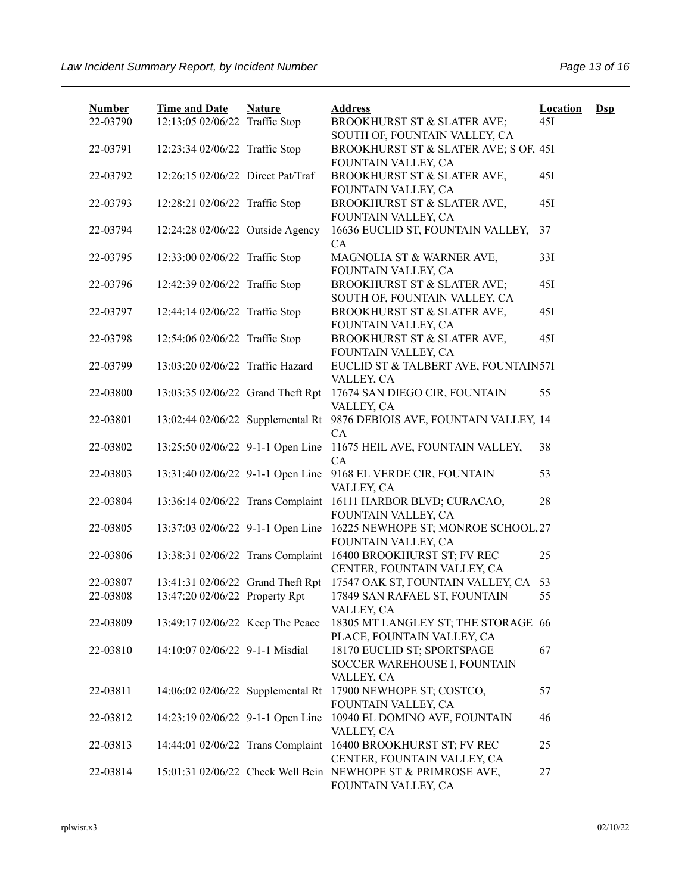| <b>Number</b>        | <b>Time and Date</b>              | <b>Nature</b> | <b>Address</b>                                                                      | <b>Location</b> | $\mathbf{Dsp}$ |
|----------------------|-----------------------------------|---------------|-------------------------------------------------------------------------------------|-----------------|----------------|
| 22-03790             | 12:13:05 02/06/22 Traffic Stop    |               | BROOKHURST ST & SLATER AVE;<br>SOUTH OF, FOUNTAIN VALLEY, CA                        | 45I             |                |
| 22-03791             | 12:23:34 02/06/22 Traffic Stop    |               | BROOKHURST ST & SLATER AVE; S OF, 45I<br>FOUNTAIN VALLEY, CA                        |                 |                |
| 22-03792             | 12:26:15 02/06/22 Direct Pat/Traf |               | BROOKHURST ST & SLATER AVE,                                                         | 45I             |                |
| 22-03793             | 12:28:21 02/06/22 Traffic Stop    |               | FOUNTAIN VALLEY, CA<br>BROOKHURST ST & SLATER AVE,                                  | 45I             |                |
| 22-03794             | 12:24:28 02/06/22 Outside Agency  |               | FOUNTAIN VALLEY, CA<br>16636 EUCLID ST, FOUNTAIN VALLEY,                            | 37              |                |
| 22-03795             | 12:33:00 02/06/22 Traffic Stop    |               | CA<br>MAGNOLIA ST & WARNER AVE,                                                     | 33I             |                |
| 22-03796             | 12:42:39 02/06/22 Traffic Stop    |               | FOUNTAIN VALLEY, CA<br><b>BROOKHURST ST &amp; SLATER AVE;</b>                       | 45I             |                |
| 22-03797             | 12:44:14 02/06/22 Traffic Stop    |               | SOUTH OF, FOUNTAIN VALLEY, CA<br>BROOKHURST ST & SLATER AVE,                        | 45I             |                |
| 22-03798             | 12:54:06 02/06/22 Traffic Stop    |               | FOUNTAIN VALLEY, CA<br>BROOKHURST ST & SLATER AVE,                                  | 45I             |                |
| 22-03799             | 13:03:20 02/06/22 Traffic Hazard  |               | FOUNTAIN VALLEY, CA<br>EUCLID ST & TALBERT AVE, FOUNTAIN57I                         |                 |                |
| 22-03800             | 13:03:35 02/06/22 Grand Theft Rpt |               | VALLEY, CA<br>17674 SAN DIEGO CIR, FOUNTAIN                                         | 55              |                |
| 22-03801             | 13:02:44 02/06/22 Supplemental Rt |               | VALLEY, CA<br>9876 DEBIOIS AVE, FOUNTAIN VALLEY, 14                                 |                 |                |
| 22-03802             | 13:25:50 02/06/22 9-1-1 Open Line |               | CA<br>11675 HEIL AVE, FOUNTAIN VALLEY,                                              | 38              |                |
| 22-03803             | 13:31:40 02/06/22 9-1-1 Open Line |               | CA<br>9168 EL VERDE CIR, FOUNTAIN                                                   | 53              |                |
| 22-03804             | 13:36:14 02/06/22 Trans Complaint |               | VALLEY, CA<br>16111 HARBOR BLVD; CURACAO,                                           | 28              |                |
| 22-03805             | 13:37:03 02/06/22 9-1-1 Open Line |               | FOUNTAIN VALLEY, CA<br>16225 NEWHOPE ST; MONROE SCHOOL, 27                          |                 |                |
| 22-03806             | 13:38:31 02/06/22 Trans Complaint |               | FOUNTAIN VALLEY, CA<br>16400 BROOKHURST ST; FV REC                                  | 25              |                |
|                      | 13:41:31 02/06/22 Grand Theft Rpt |               | CENTER, FOUNTAIN VALLEY, CA<br>17547 OAK ST, FOUNTAIN VALLEY, CA                    |                 |                |
| 22-03807<br>22-03808 | 13:47:20 02/06/22 Property Rpt    |               | 17849 SAN RAFAEL ST, FOUNTAIN<br>VALLEY, CA                                         | 53<br>55        |                |
| 22-03809             | 13:49:17 02/06/22 Keep The Peace  |               | 18305 MT LANGLEY ST; THE STORAGE 66<br>PLACE, FOUNTAIN VALLEY, CA                   |                 |                |
| 22-03810             | 14:10:07 02/06/22 9-1-1 Misdial   |               | 18170 EUCLID ST; SPORTSPAGE<br>SOCCER WAREHOUSE I, FOUNTAIN                         | 67              |                |
|                      |                                   |               | VALLEY, CA                                                                          |                 |                |
| 22-03811             |                                   |               | 14:06:02 02/06/22 Supplemental Rt 17900 NEWHOPE ST; COSTCO,<br>FOUNTAIN VALLEY, CA  | 57              |                |
| 22-03812             | 14:23:19 02/06/22 9-1-1 Open Line |               | 10940 EL DOMINO AVE, FOUNTAIN<br>VALLEY, CA                                         | 46              |                |
| 22-03813             | 14:44:01 02/06/22 Trans Complaint |               | 16400 BROOKHURST ST; FV REC<br>CENTER, FOUNTAIN VALLEY, CA                          | 25              |                |
| 22-03814             |                                   |               | 15:01:31 02/06/22 Check Well Bein NEWHOPE ST & PRIMROSE AVE,<br>FOUNTAIN VALLEY, CA | 27              |                |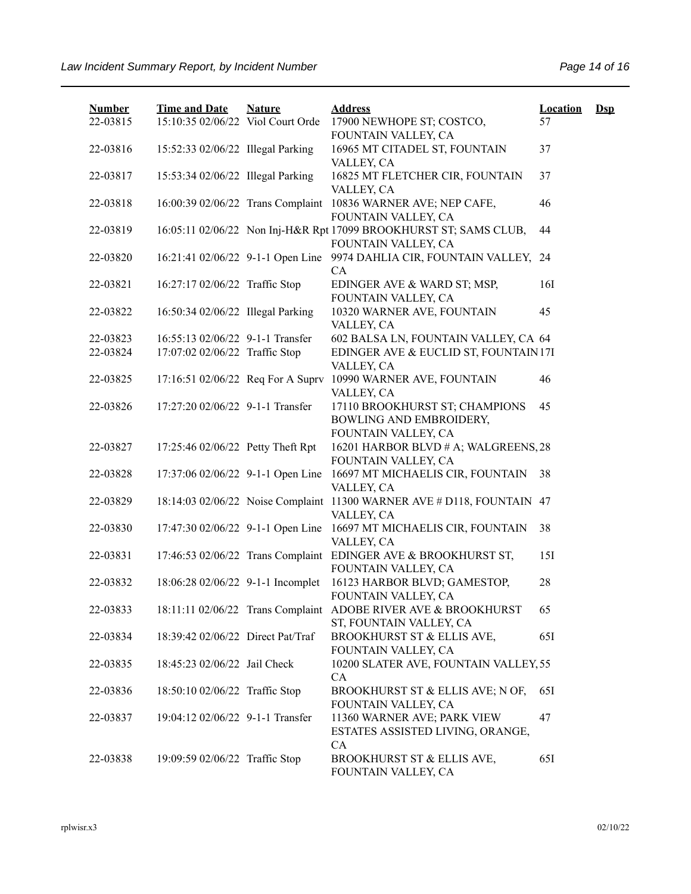| <b>Number</b> | <b>Time and Date</b>              | <b>Nature</b> | <b>Address</b>                                                                            | <b>Location</b> | $\mathbf{Dsp}$ |
|---------------|-----------------------------------|---------------|-------------------------------------------------------------------------------------------|-----------------|----------------|
| 22-03815      | 15:10:35 02/06/22 Viol Court Orde |               | 17900 NEWHOPE ST; COSTCO,<br>FOUNTAIN VALLEY, CA                                          | 57              |                |
| 22-03816      | 15:52:33 02/06/22 Illegal Parking |               | 16965 MT CITADEL ST, FOUNTAIN<br>VALLEY, CA                                               | 37              |                |
| 22-03817      | 15:53:34 02/06/22 Illegal Parking |               | 16825 MT FLETCHER CIR, FOUNTAIN<br>VALLEY, CA                                             | 37              |                |
| 22-03818      | 16:00:39 02/06/22 Trans Complaint |               | 10836 WARNER AVE; NEP CAFE,<br>FOUNTAIN VALLEY, CA                                        | 46              |                |
| 22-03819      |                                   |               | 16:05:11 02/06/22 Non Inj-H&R Rpt 17099 BROOKHURST ST; SAMS CLUB,<br>FOUNTAIN VALLEY, CA  | 44              |                |
| 22-03820      | 16:21:41 02/06/22 9-1-1 Open Line |               | 9974 DAHLIA CIR, FOUNTAIN VALLEY, 24<br>CA                                                |                 |                |
| 22-03821      | 16:27:17 02/06/22 Traffic Stop    |               | EDINGER AVE & WARD ST; MSP,<br>FOUNTAIN VALLEY, CA                                        | 16I             |                |
| 22-03822      | 16:50:34 02/06/22 Illegal Parking |               | 10320 WARNER AVE, FOUNTAIN<br>VALLEY, CA                                                  | 45              |                |
| 22-03823      | 16:55:13 02/06/22 9-1-1 Transfer  |               | 602 BALSA LN, FOUNTAIN VALLEY, CA 64                                                      |                 |                |
| 22-03824      | 17:07:02 02/06/22 Traffic Stop    |               | EDINGER AVE & EUCLID ST, FOUNTAIN 17I<br>VALLEY, CA                                       |                 |                |
| 22-03825      | 17:16:51 02/06/22 Req For A Suprv |               | 10990 WARNER AVE, FOUNTAIN<br>VALLEY, CA                                                  | 46              |                |
| 22-03826      | 17:27:20 02/06/22 9-1-1 Transfer  |               | 17110 BROOKHURST ST; CHAMPIONS<br>BOWLING AND EMBROIDERY,<br>FOUNTAIN VALLEY, CA          | 45              |                |
| 22-03827      | 17:25:46 02/06/22 Petty Theft Rpt |               | 16201 HARBOR BLVD # A; WALGREENS, 28<br>FOUNTAIN VALLEY, CA                               |                 |                |
| 22-03828      | 17:37:06 02/06/22 9-1-1 Open Line |               | 16697 MT MICHAELIS CIR, FOUNTAIN<br>VALLEY, CA                                            | 38              |                |
| 22-03829      | 18:14:03 02/06/22 Noise Complaint |               | 11300 WARNER AVE # D118, FOUNTAIN<br>VALLEY, CA                                           | 47              |                |
| 22-03830      | 17:47:30 02/06/22 9-1-1 Open Line |               | 16697 MT MICHAELIS CIR, FOUNTAIN<br>VALLEY, CA                                            | 38              |                |
| 22-03831      |                                   |               | 17:46:53 02/06/22 Trans Complaint EDINGER AVE & BROOKHURST ST,<br>FOUNTAIN VALLEY, CA     | 151             |                |
| 22-03832      | 18:06:28 02/06/22 9-1-1 Incomplet |               | 16123 HARBOR BLVD; GAMESTOP,<br>FOUNTAIN VALLEY, CA                                       | 28              |                |
| 22-03833      |                                   |               | 18:11:11 02/06/22 Trans Complaint ADOBE RIVER AVE & BROOKHURST<br>ST, FOUNTAIN VALLEY, CA | 65              |                |
| 22-03834      | 18:39:42 02/06/22 Direct Pat/Traf |               | BROOKHURST ST & ELLIS AVE,<br>FOUNTAIN VALLEY, CA                                         | 65I             |                |
| 22-03835      | 18:45:23 02/06/22 Jail Check      |               | 10200 SLATER AVE, FOUNTAIN VALLEY, 55<br>CA                                               |                 |                |
| 22-03836      | 18:50:10 02/06/22 Traffic Stop    |               | BROOKHURST ST & ELLIS AVE; N OF,<br>FOUNTAIN VALLEY, CA                                   | 65I             |                |
| 22-03837      | 19:04:12 02/06/22 9-1-1 Transfer  |               | 11360 WARNER AVE; PARK VIEW<br>ESTATES ASSISTED LIVING, ORANGE,<br>CA                     | 47              |                |
| 22-03838      | 19:09:59 02/06/22 Traffic Stop    |               | BROOKHURST ST & ELLIS AVE,<br>FOUNTAIN VALLEY, CA                                         | 651             |                |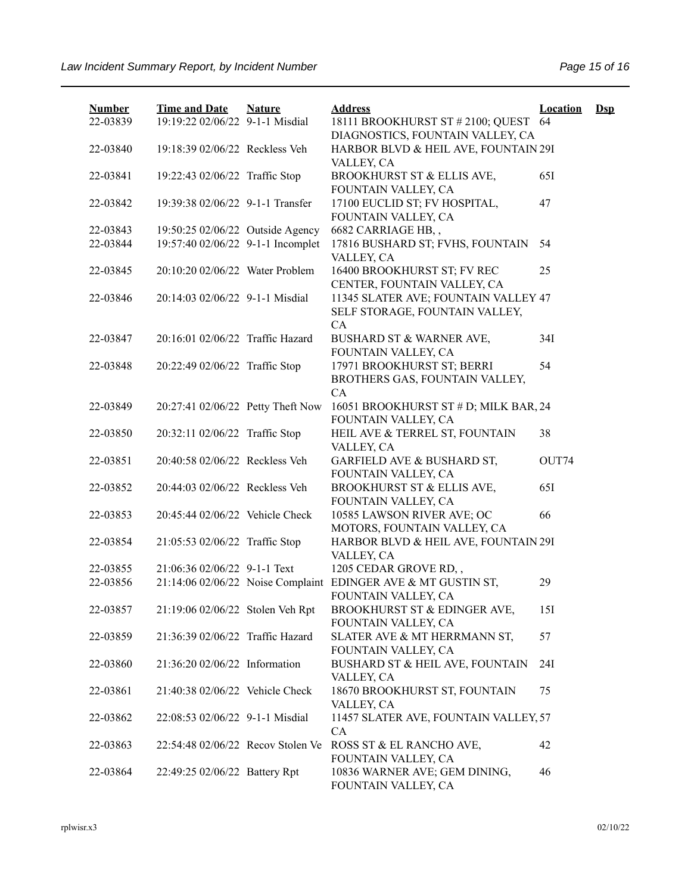| <b>Number</b><br>22-03839 | <b>Time and Date</b><br>19:19:22 02/06/22 9-1-1 Misdial | <b>Nature</b> | <b>Address</b><br>18111 BROOKHURST ST # 2100; QUEST 64                               | <b>Location</b> | $\mathbf{Dsp}$ |
|---------------------------|---------------------------------------------------------|---------------|--------------------------------------------------------------------------------------|-----------------|----------------|
|                           |                                                         |               | DIAGNOSTICS, FOUNTAIN VALLEY, CA                                                     |                 |                |
| 22-03840                  | 19:18:39 02/06/22 Reckless Veh                          |               | HARBOR BLVD & HEIL AVE, FOUNTAIN 29I<br>VALLEY, CA                                   |                 |                |
| 22-03841                  | 19:22:43 02/06/22 Traffic Stop                          |               | BROOKHURST ST & ELLIS AVE,<br>FOUNTAIN VALLEY, CA                                    | 651             |                |
| 22-03842                  | 19:39:38 02/06/22 9-1-1 Transfer                        |               | 17100 EUCLID ST; FV HOSPITAL,<br>FOUNTAIN VALLEY, CA                                 | 47              |                |
| 22-03843                  | 19:50:25 02/06/22 Outside Agency                        |               | 6682 CARRIAGE HB,,                                                                   |                 |                |
| 22-03844                  | 19:57:40 02/06/22 9-1-1 Incomplet                       |               | 17816 BUSHARD ST; FVHS, FOUNTAIN<br>VALLEY, CA                                       | 54              |                |
| 22-03845                  | 20:10:20 02/06/22 Water Problem                         |               | 16400 BROOKHURST ST; FV REC<br>CENTER, FOUNTAIN VALLEY, CA                           | 25              |                |
| 22-03846                  | 20:14:03 02/06/22 9-1-1 Misdial                         |               | 11345 SLATER AVE; FOUNTAIN VALLEY 47<br>SELF STORAGE, FOUNTAIN VALLEY,<br><b>CA</b>  |                 |                |
| 22-03847                  | 20:16:01 02/06/22 Traffic Hazard                        |               | BUSHARD ST & WARNER AVE,<br>FOUNTAIN VALLEY, CA                                      | 34I             |                |
| 22-03848                  | 20:22:49 02/06/22 Traffic Stop                          |               | 17971 BROOKHURST ST; BERRI<br>BROTHERS GAS, FOUNTAIN VALLEY,<br>CA                   | 54              |                |
| 22-03849                  | 20:27:41 02/06/22 Petty Theft Now                       |               | 16051 BROOKHURST ST # D; MILK BAR, 24<br>FOUNTAIN VALLEY, CA                         |                 |                |
| 22-03850                  | 20:32:11 02/06/22 Traffic Stop                          |               | HEIL AVE & TERREL ST, FOUNTAIN<br>VALLEY, CA                                         | 38              |                |
| 22-03851                  | 20:40:58 02/06/22 Reckless Veh                          |               | GARFIELD AVE & BUSHARD ST,<br>FOUNTAIN VALLEY, CA                                    | OUT74           |                |
| 22-03852                  | 20:44:03 02/06/22 Reckless Veh                          |               | BROOKHURST ST & ELLIS AVE,<br>FOUNTAIN VALLEY, CA                                    | 651             |                |
| 22-03853                  | 20:45:44 02/06/22 Vehicle Check                         |               | 10585 LAWSON RIVER AVE; OC<br>MOTORS, FOUNTAIN VALLEY, CA                            | 66              |                |
| 22-03854                  | 21:05:53 02/06/22 Traffic Stop                          |               | HARBOR BLVD & HEIL AVE, FOUNTAIN 29I<br>VALLEY, CA                                   |                 |                |
| 22-03855                  | 21:06:36 02/06/22 9-1-1 Text                            |               | 1205 CEDAR GROVE RD,,                                                                |                 |                |
| 22-03856                  |                                                         |               | 21:14:06 02/06/22 Noise Complaint EDINGER AVE & MT GUSTIN ST,<br>FOUNTAIN VALLEY, CA | 29              |                |
| 22-03857                  | 21:19:06 02/06/22 Stolen Veh Rpt                        |               | BROOKHURST ST & EDINGER AVE,<br>FOUNTAIN VALLEY, CA                                  | 15I             |                |
| 22-03859                  | 21:36:39 02/06/22 Traffic Hazard                        |               | SLATER AVE & MT HERRMANN ST,<br>FOUNTAIN VALLEY, CA                                  | 57              |                |
| 22-03860                  | 21:36:20 02/06/22 Information                           |               | BUSHARD ST & HEIL AVE, FOUNTAIN<br>VALLEY, CA                                        | 24I             |                |
| 22-03861                  | 21:40:38 02/06/22 Vehicle Check                         |               | 18670 BROOKHURST ST, FOUNTAIN<br>VALLEY, CA                                          | 75              |                |
| 22-03862                  | 22:08:53 02/06/22 9-1-1 Misdial                         |               | 11457 SLATER AVE, FOUNTAIN VALLEY, 57<br>CA                                          |                 |                |
| 22-03863                  | 22:54:48 02/06/22 Recov Stolen Ve                       |               | ROSS ST & EL RANCHO AVE,<br>FOUNTAIN VALLEY, CA                                      | 42              |                |
| 22-03864                  | 22:49:25 02/06/22 Battery Rpt                           |               | 10836 WARNER AVE; GEM DINING,<br>FOUNTAIN VALLEY, CA                                 | 46              |                |